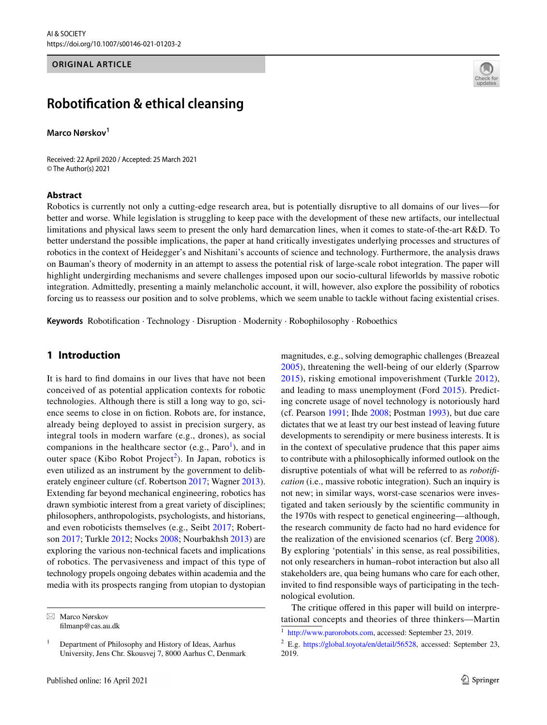#### **ORIGINAL ARTICLE**



# **Robotifcation & ethical cleansing**

#### **Marco Nørskov<sup>1</sup>**

Received: 22 April 2020 / Accepted: 25 March 2021 © The Author(s) 2021

#### **Abstract**

Robotics is currently not only a cutting-edge research area, but is potentially disruptive to all domains of our lives—for better and worse. While legislation is struggling to keep pace with the development of these new artifacts, our intellectual limitations and physical laws seem to present the only hard demarcation lines, when it comes to state-of-the-art R&D. To better understand the possible implications, the paper at hand critically investigates underlying processes and structures of robotics in the context of Heidegger's and Nishitani's accounts of science and technology. Furthermore, the analysis draws on Bauman's theory of modernity in an attempt to assess the potential risk of large-scale robot integration. The paper will highlight undergirding mechanisms and severe challenges imposed upon our socio-cultural lifeworlds by massive robotic integration. Admittedly, presenting a mainly melancholic account, it will, however, also explore the possibility of robotics forcing us to reassess our position and to solve problems, which we seem unable to tackle without facing existential crises.

**Keywords** Robotifcation · Technology · Disruption · Modernity · Robophilosophy · Roboethics

## <span id="page-0-2"></span>**1 Introduction**

It is hard to fnd domains in our lives that have not been conceived of as potential application contexts for robotic technologies. Although there is still a long way to go, science seems to close in on fiction. Robots are, for instance, already being deployed to assist in precision surgery, as integral tools in modern warfare (e.g., drones), as social companions in the healthcare sector (e.g.,  $Paro<sup>1</sup>$  $Paro<sup>1</sup>$  $Paro<sup>1</sup>$ ), and in outer space (Kibo Robot Project<sup>[2](#page-0-1)</sup>). In Japan, robotics is even utilized as an instrument by the government to deliberately engineer culture (cf. Robertson [2017](#page-15-0); Wagner [2013](#page-16-0)). Extending far beyond mechanical engineering, robotics has drawn symbiotic interest from a great variety of disciplines; philosophers, anthropologists, psychologists, and historians, and even roboticists themselves (e.g., Seibt [2017](#page-15-1); Robertson [2017](#page-15-0); Turkle [2012](#page-16-1); Nocks [2008](#page-15-2); Nourbakhsh [2013](#page-15-3)) are exploring the various non-technical facets and implications of robotics. The pervasiveness and impact of this type of technology propels ongoing debates within academia and the media with its prospects ranging from utopian to dystopian

magnitudes, e.g., solving demographic challenges (Breazeal [2005\)](#page-14-0), threatening the well-being of our elderly (Sparrow [2015\)](#page-16-2), risking emotional impoverishment (Turkle [2012](#page-16-1)), and leading to mass unemployment (Ford [2015\)](#page-14-1). Predicting concrete usage of novel technology is notoriously hard (cf. Pearson [1991](#page-15-4); Ihde [2008](#page-14-2); Postman [1993](#page-15-5)), but due care dictates that we at least try our best instead of leaving future developments to serendipity or mere business interests. It is in the context of speculative prudence that this paper aims to contribute with a philosophically informed outlook on the disruptive potentials of what will be referred to as *robotifcation* (i.e., massive robotic integration). Such an inquiry is not new; in similar ways, worst-case scenarios were investigated and taken seriously by the scientifc community in the 1970s with respect to genetical engineering—although, the research community de facto had no hard evidence for the realization of the envisioned scenarios (cf. Berg [2008](#page-13-0)). By exploring 'potentials' in this sense, as real possibilities, not only researchers in human–robot interaction but also all stakeholders are, qua being humans who care for each other, invited to fnd responsible ways of participating in the technological evolution.

The critique offered in this paper will build on interpre-<br>
filmanp@cas.au.dk filmanp@cas.au.dk filmanp@cas.au.dk filmanp@cas.au.dk

 $1$  Department of Philosophy and History of Ideas, Aarhus University, Jens Chr. Skousvej 7, 8000 Aarhus C, Denmark

<span id="page-0-0"></span>[http://www.parorobots.com,](http://www.parorobots.com) accessed: September 23, 2019.

<span id="page-0-1"></span> $2$  E.g. <https://global.toyota/en/detail/56528>, accessed: September 23, 2019.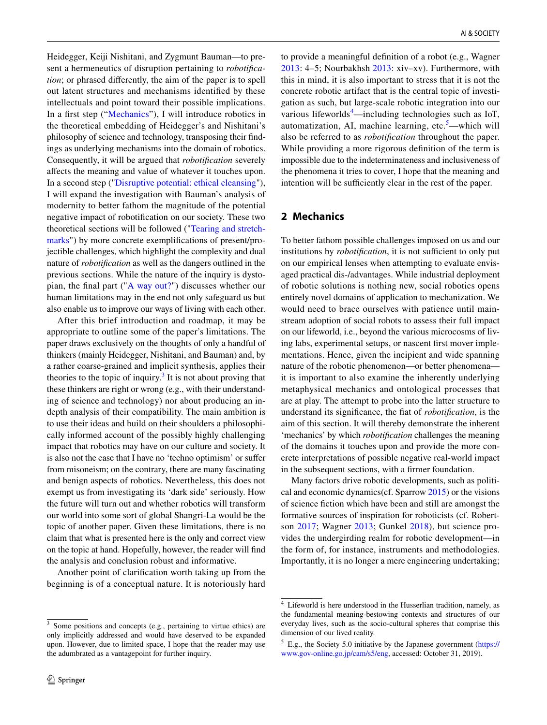Heidegger, Keiji Nishitani, and Zygmunt Bauman—to present a hermeneutics of disruption pertaining to *robotifcation*; or phrased diferently, the aim of the paper is to spell out latent structures and mechanisms identifed by these intellectuals and point toward their possible implications. In a frst step ("[Mechanics](#page-1-0)"), I will introduce robotics in the theoretical embedding of Heidegger's and Nishitani's philosophy of science and technology, transposing their fndings as underlying mechanisms into the domain of robotics. Consequently, it will be argued that *robotifcation* severely afects the meaning and value of whatever it touches upon. In a second step ("[Disruptive potential: ethical cleansing](#page-4-0)"), I will expand the investigation with Bauman's analysis of modernity to better fathom the magnitude of the potential negative impact of robotifcation on our society. These two theoretical sections will be followed ("[Tearing and stretch](#page-9-0)[marks"](#page-9-0)) by more concrete exemplifcations of present/projectible challenges, which highlight the complexity and dual nature of *robotifcation* as well as the dangers outlined in the previous sections. While the nature of the inquiry is dystopian, the fnal part ("[A way out?"](#page-11-0)) discusses whether our human limitations may in the end not only safeguard us but also enable us to improve our ways of living with each other.

After this brief introduction and roadmap, it may be appropriate to outline some of the paper's limitations. The paper draws exclusively on the thoughts of only a handful of thinkers (mainly Heidegger, Nishitani, and Bauman) and, by a rather coarse-grained and implicit synthesis, applies their theories to the topic of inquiry.<sup>[3](#page-1-1)</sup> It is not about proving that these thinkers are right or wrong (e.g., with their understanding of science and technology) nor about producing an indepth analysis of their compatibility. The main ambition is to use their ideas and build on their shoulders a philosophically informed account of the possibly highly challenging impact that robotics may have on our culture and society. It is also not the case that I have no 'techno optimism' or sufer from misoneism; on the contrary, there are many fascinating and benign aspects of robotics. Nevertheless, this does not exempt us from investigating its 'dark side' seriously. How the future will turn out and whether robotics will transform our world into some sort of global Shangri-La would be the topic of another paper. Given these limitations, there is no claim that what is presented here is the only and correct view on the topic at hand. Hopefully, however, the reader will fnd the analysis and conclusion robust and informative.

Another point of clarifcation worth taking up from the beginning is of a conceptual nature. It is notoriously hard to provide a meaningful defnition of a robot (e.g., Wagner [2013:](#page-16-0) 4–5; Nourbakhsh [2013](#page-15-3): xiv–xv). Furthermore, with this in mind, it is also important to stress that it is not the concrete robotic artifact that is the central topic of investigation as such, but large-scale robotic integration into our various lifeworlds<sup>[4](#page-1-2)</sup>—including technologies such as IoT, automatization, AI, machine learning, etc.<sup>[5](#page-1-3)</sup>—which will also be referred to as *robotifcation* throughout the paper. While providing a more rigorous defnition of the term is impossible due to the indeterminateness and inclusiveness of the phenomena it tries to cover, I hope that the meaning and intention will be sufficiently clear in the rest of the paper.

#### <span id="page-1-0"></span>**2 Mechanics**

To better fathom possible challenges imposed on us and our institutions by *robotification*, it is not sufficient to only put on our empirical lenses when attempting to evaluate envisaged practical dis-/advantages. While industrial deployment of robotic solutions is nothing new, social robotics opens entirely novel domains of application to mechanization. We would need to brace ourselves with patience until mainstream adoption of social robots to assess their full impact on our lifeworld, i.e., beyond the various microcosms of living labs, experimental setups, or nascent frst mover implementations. Hence, given the incipient and wide spanning nature of the robotic phenomenon—or better phenomena it is important to also examine the inherently underlying metaphysical mechanics and ontological processes that are at play. The attempt to probe into the latter structure to understand its signifcance, the fat of *robotifcation*, is the aim of this section. It will thereby demonstrate the inherent 'mechanics' by which *robotifcation* challenges the meaning of the domains it touches upon and provide the more concrete interpretations of possible negative real-world impact in the subsequent sections, with a frmer foundation.

Many factors drive robotic developments, such as political and economic dynamics(cf. Sparrow [2015](#page-16-2)) or the visions of science fction which have been and still are amongst the formative sources of inspiration for roboticists (cf. Robertson [2017;](#page-15-0) Wagner [2013;](#page-16-0) Gunkel [2018](#page-14-3)), but science provides the undergirding realm for robotic development—in the form of, for instance, instruments and methodologies. Importantly, it is no longer a mere engineering undertaking;

<span id="page-1-1"></span><sup>&</sup>lt;sup>3</sup> Some positions and concepts (e.g., pertaining to virtue ethics) are only implicitly addressed and would have deserved to be expanded upon. However, due to limited space, I hope that the reader may use the adumbrated as a vantagepoint for further inquiry.

<span id="page-1-2"></span><sup>4</sup> Lifeworld is here understood in the Husserlian tradition, namely, as the fundamental meaning-bestowing contexts and structures of our everyday lives, such as the socio-cultural spheres that comprise this dimension of our lived reality.

<span id="page-1-3"></span> $<sup>5</sup>$  E.g., the Society 5.0 initiative by the Japanese government ([https://](https://www.gov-online.go.jp/cam/s5/eng)</sup> [www.gov-online.go.jp/cam/s5/eng,](https://www.gov-online.go.jp/cam/s5/eng) accessed: October 31, 2019).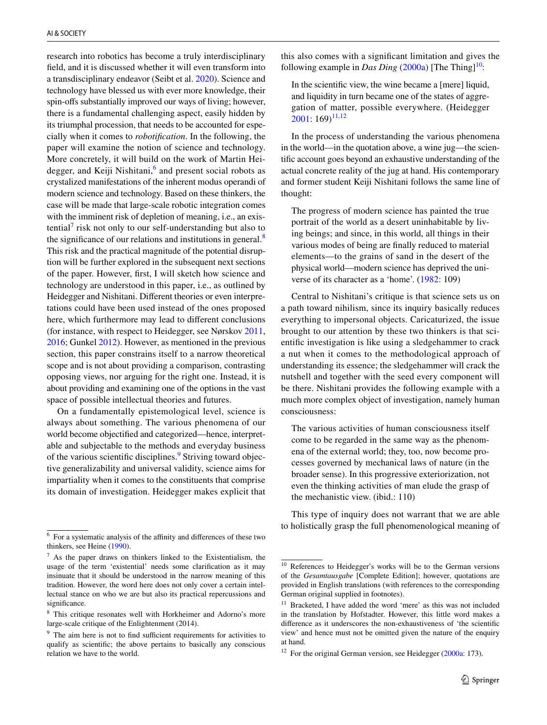research into robotics has become a truly interdisciplinary feld, and it is discussed whether it will even transform into a transdisciplinary endeavor (Seibt et al. [2020](#page-15-6)). Science and technology have blessed us with ever more knowledge, their spin-ofs substantially improved our ways of living; however, there is a fundamental challenging aspect, easily hidden by its triumphal procession, that needs to be accounted for especially when it comes to *robotifcation*. In the following, the paper will examine the notion of science and technology. More concretely, it will build on the work of Martin Hei-degger, and Keiji Nishitani,<sup>[6](#page-2-0)</sup> and present social robots as crystalized manifestations of the inherent modus operandi of modern science and technology. Based on these thinkers, the case will be made that large-scale robotic integration comes with the imminent risk of depletion of meaning, i.e., an exis $t$ ential<sup>[7](#page-2-1)</sup> risk not only to our self-understanding but also to the significance of our relations and institutions in general. $8$ This risk and the practical magnitude of the potential disruption will be further explored in the subsequent next sections of the paper. However, frst, I will sketch how science and technology are understood in this paper, i.e., as outlined by Heidegger and Nishitani. Diferent theories or even interpretations could have been used instead of the ones proposed here, which furthermore may lead to diferent conclusions (for instance, with respect to Heidegger, see Nørskov [2011,](#page-15-7) [2016;](#page-15-8) Gunkel [2012](#page-14-4)). However, as mentioned in the previous section, this paper constrains itself to a narrow theoretical scope and is not about providing a comparison, contrasting opposing views, nor arguing for the right one. Instead, it is about providing and examining one of the options in the vast space of possible intellectual theories and futures.

On a fundamentally epistemological level, science is always about something. The various phenomena of our world become objectifed and categorized—hence, interpretable and subjectable to the methods and everyday business of the various scientific disciplines.<sup>9</sup> Striving toward objective generalizability and universal validity, science aims for impartiality when it comes to the constituents that comprise its domain of investigation. Heidegger makes explicit that this also comes with a signifcant limitation and gives the following example in *Das Ding* ([2000a](#page-14-5)) [The Thing]<sup>[10](#page-2-4)</sup>:

In the scientifc view, the wine became a [mere] liquid, and liquidity in turn became one of the states of aggregation of matter, possible everywhere. (Heidegger  $2001: 169$  $2001: 169$ <sup>[11,](#page-2-5)[12](#page-2-6)</sup>

In the process of understanding the various phenomena in the world—in the quotation above, a wine jug—the scientifc account goes beyond an exhaustive understanding of the actual concrete reality of the jug at hand. His contemporary and former student Keiji Nishitani follows the same line of thought:

The progress of modern science has painted the true portrait of the world as a desert uninhabitable by living beings; and since, in this world, all things in their various modes of being are fnally reduced to material elements—to the grains of sand in the desert of the physical world—modern science has deprived the universe of its character as a 'home'. ([1982:](#page-15-9) 109)

Central to Nishitani's critique is that science sets us on a path toward nihilism, since its inquiry basically reduces everything to impersonal objects. Caricaturized, the issue brought to our attention by these two thinkers is that scientifc investigation is like using a sledgehammer to crack a nut when it comes to the methodological approach of understanding its essence; the sledgehammer will crack the nutshell and together with the seed every component will be there. Nishitani provides the following example with a much more complex object of investigation, namely human consciousness:

The various activities of human consciousness itself come to be regarded in the same way as the phenomena of the external world; they, too, now become processes governed by mechanical laws of nature (in the broader sense). In this progressive exteriorization, not even the thinking activities of man elude the grasp of the mechanistic view. (ibid.: 110)

This type of inquiry does not warrant that we are able to holistically grasp the full phenomenological meaning of<br>For a systematic analysis of the affinity and differences of these two

<span id="page-2-0"></span>thinkers, see Heine ([1990\)](#page-14-7).

<span id="page-2-1"></span> $<sup>7</sup>$  As the paper draws on thinkers linked to the Existentialism, the</sup> usage of the term 'existential' needs some clarifcation as it may insinuate that it should be understood in the narrow meaning of this tradition. However, the word here does not only cover a certain intellectual stance on who we are but also its practical repercussions and significance.

<span id="page-2-2"></span><sup>8</sup> This critique resonates well with Horkheimer and Adorno's more large-scale critique of the Enlightenment (2014).

<span id="page-2-3"></span> $9$  The aim here is not to find sufficient requirements for activities to qualify as scientifc; the above pertains to basically any conscious relation we have to the world.

<span id="page-2-4"></span><sup>10</sup> References to Heidegger's works will be to the German versions of the *Gesamtausgabe* [Complete Edition]; however, quotations are provided in English translations (with references to the corresponding German original supplied in footnotes).

<span id="page-2-5"></span><sup>&</sup>lt;sup>11</sup> Bracketed, I have added the word 'mere' as this was not included in the translation by Hofstadter. However, this little word makes a diference as it underscores the non-exhaustiveness of 'the scientifc view' and hence must not be omitted given the nature of the enquiry at hand.

<span id="page-2-6"></span><sup>&</sup>lt;sup>12</sup> For the original German version, see Heidegger [\(2000a](#page-14-5): 173).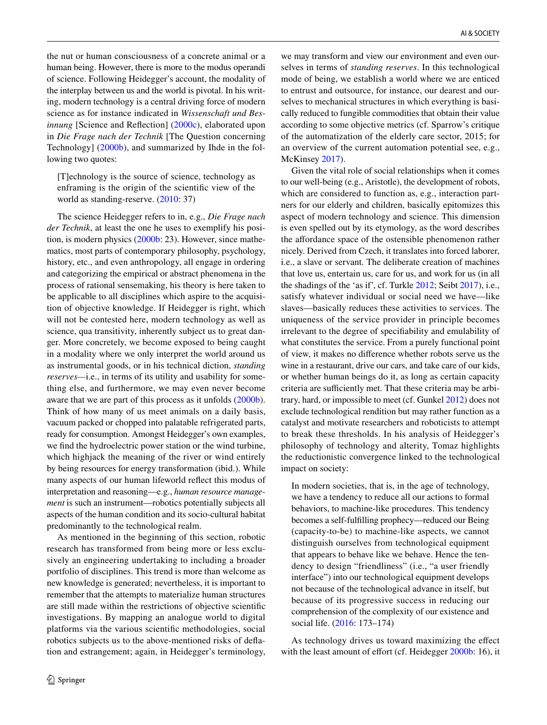the nut or human consciousness of a concrete animal or a human being. However, there is more to the modus operandi of science. Following Heidegger's account, the modality of the interplay between us and the world is pivotal. In his writing, modern technology is a central driving force of modern science as for instance indicated in *Wissenschaft und Besinnung* [Science and Reflection] ([2000c](#page-14-8)), elaborated upon in *Die Frage nach der Technik* [The Question concerning Technology] ([2000b\)](#page-14-9), and summarized by Ihde in the following two quotes:

[T]echnology is the source of science, technology as enframing is the origin of the scientifc view of the world as standing-reserve. [\(2010](#page-14-10): 37)

The science Heidegger refers to in, e.g., *Die Frage nach der Technik*, at least the one he uses to exemplify his position, is modern physics [\(2000b](#page-14-9): 23). However, since mathematics, most parts of contemporary philosophy, psychology, history, etc., and even anthropology, all engage in ordering and categorizing the empirical or abstract phenomena in the process of rational sensemaking, his theory is here taken to be applicable to all disciplines which aspire to the acquisition of objective knowledge. If Heidegger is right, which will not be contested here, modern technology as well as science, qua transitivity, inherently subject us to great danger. More concretely, we become exposed to being caught in a modality where we only interpret the world around us as instrumental goods, or in his technical diction, *standing reserves—*i.e., in terms of its utility and usability for something else, and furthermore, we may even never become aware that we are part of this process as it unfolds ([2000b](#page-14-9)). Think of how many of us meet animals on a daily basis, vacuum packed or chopped into palatable refrigerated parts, ready for consumption. Amongst Heidegger's own examples, we fnd the hydroelectric power station or the wind turbine, which highjack the meaning of the river or wind entirely by being resources for energy transformation (ibid.). While many aspects of our human lifeworld refect this modus of interpretation and reasoning—e.g., *human resource management* is such an instrument—robotics potentially subjects all aspects of the human condition and its socio-cultural habitat predominantly to the technological realm.

As mentioned in the beginning of this section, robotic research has transformed from being more or less exclusively an engineering undertaking to including a broader portfolio of disciplines. This trend is more than welcome as new knowledge is generated; nevertheless, it is important to remember that the attempts to materialize human structures are still made within the restrictions of objective scientifc investigations. By mapping an analogue world to digital platforms via the various scientifc methodologies, social robotics subjects us to the above-mentioned risks of defation and estrangement; again, in Heidegger's terminology,

we may transform and view our environment and even ourselves in terms of *standing reserves*. In this technological mode of being, we establish a world where we are enticed to entrust and outsource, for instance, our dearest and ourselves to mechanical structures in which everything is basically reduced to fungible commodities that obtain their value according to some objective metrics (cf. Sparrow's critique of the automatization of the elderly care sector, 2015; for an overview of the current automation potential see, e.g., McKinsey [2017\)](#page-15-10).

Given the vital role of social relationships when it comes to our well-being (e.g., Aristotle), the development of robots, which are considered to function as, e.g., interaction partners for our elderly and children, basically epitomizes this aspect of modern technology and science. This dimension is even spelled out by its etymology, as the word describes the affordance space of the ostensible phenomenon rather nicely. Derived from Czech, it translates into forced laborer, i.e., a slave or servant. The deliberate creation of machines that love us, entertain us, care for us, and work for us (in all the shadings of the 'as if', cf. Turkle [2012;](#page-16-1) Seibt [2017](#page-15-1)), i.e., satisfy whatever individual or social need we have—like slaves—basically reduces these activities to services. The uniqueness of the service provider in principle becomes irrelevant to the degree of specifability and emulability of what constitutes the service. From a purely functional point of view, it makes no diference whether robots serve us the wine in a restaurant, drive our cars, and take care of our kids, or whether human beings do it, as long as certain capacity criteria are sufficiently met. That these criteria may be arbitrary, hard, or impossible to meet (cf. Gunkel [2012\)](#page-14-4) does not exclude technological rendition but may rather function as a catalyst and motivate researchers and roboticists to attempt to break these thresholds. In his analysis of Heidegger's philosophy of technology and alterity, Tomaz highlights the reductionistic convergence linked to the technological impact on society:

In modern societies, that is, in the age of technology, we have a tendency to reduce all our actions to formal behaviors, to machine-like procedures. This tendency becomes a self-fulflling prophecy—reduced our Being (capacity-to-be) to machine-like aspects, we cannot distinguish ourselves from technological equipment that appears to behave like we behave. Hence the tendency to design "friendliness" (i.e., "a user friendly interface") into our technological equipment develops not because of the technological advance in itself, but because of its progressive success in reducing our comprehension of the complexity of our existence and social life. [\(2016](#page-16-3): 173–174)

As technology drives us toward maximizing the efect with the least amount of effort (cf. Heidegger [2000b](#page-14-9): 16), it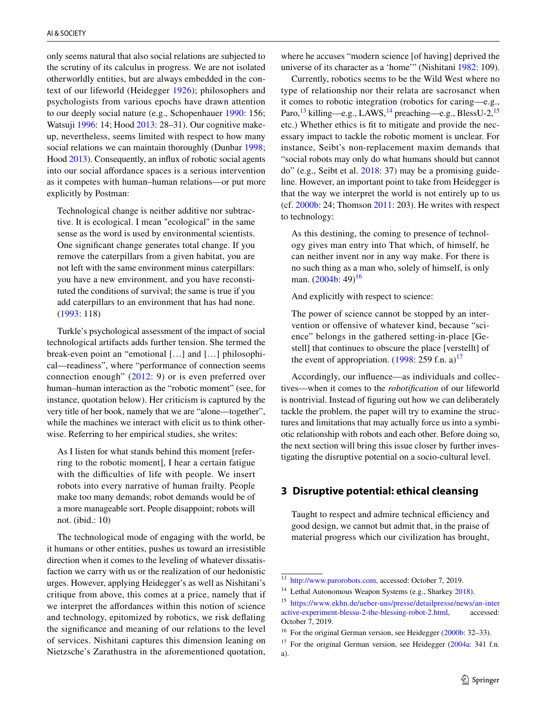only seems natural that also social relations are subjected to the scrutiny of its calculus in progress. We are not isolated otherworldly entities, but are always embedded in the context of our lifeworld (Heidegger [1926\)](#page-14-11); philosophers and psychologists from various epochs have drawn attention to our deeply social nature (e.g., Schopenhauer [1990:](#page-15-11) 156; Watsuji [1996:](#page-16-4) 14; Hood [2013:](#page-14-12) 28–31). Our cognitive makeup, nevertheless, seems limited with respect to how many social relations we can maintain thoroughly (Dunbar [1998](#page-14-13); Hood [2013](#page-14-12)). Consequently, an infux of robotic social agents into our social afordance spaces is a serious intervention as it competes with human–human relations—or put more explicitly by Postman:

Technological change is neither additive nor subtractive. It is ecological. I mean "ecological" in the same sense as the word is used by environmental scientists. One signifcant change generates total change. If you remove the caterpillars from a given habitat, you are not left with the same environment minus caterpillars: you have a new environment, and you have reconstituted the conditions of survival; the same is true if you add caterpillars to an environment that has had none. ([1993:](#page-15-5) 118)

Turkle's psychological assessment of the impact of social technological artifacts adds further tension. She termed the break-even point an "emotional […] and […] philosophical—readiness", where "performance of connection seems connection enough" [\(2012](#page-16-1): 9) or is even preferred over human–human interaction as the "robotic moment" (see, for instance, quotation below). Her criticism is captured by the very title of her book, namely that we are "alone—together", while the machines we interact with elicit us to think otherwise. Referring to her empirical studies, she writes:

As I listen for what stands behind this moment [referring to the robotic moment], I hear a certain fatigue with the difficulties of life with people. We insert robots into every narrative of human frailty. People make too many demands; robot demands would be of a more manageable sort. People disappoint; robots will not. (ibid.: 10)

The technological mode of engaging with the world, be it humans or other entities, pushes us toward an irresistible direction when it comes to the leveling of whatever dissatisfaction we carry with us or the realization of our hedonistic urges. However, applying Heidegger's as well as Nishitani's critique from above, this comes at a price, namely that if we interpret the affordances within this notion of science and technology, epitomized by robotics, we risk defating the signifcance and meaning of our relations to the level of services. Nishitani captures this dimension leaning on Nietzsche's Zarathustra in the aforementioned quotation,

where he accuses "modern science [of having] deprived the universe of its character as a 'home'" (Nishitani [1982](#page-15-9): 109).

Currently, robotics seems to be the Wild West where no type of relationship nor their relata are sacrosanct when it comes to robotic integration (robotics for caring—e.g., Paro,<sup>13</sup> killing—e.g., LAWS, <sup>[14](#page-4-2)</sup> preaching—e.g., BlessU-2, <sup>15</sup> etc.) Whether ethics is ft to mitigate and provide the necessary impact to tackle the robotic moment is unclear. For instance, Seibt's non-replacement maxim demands that "social robots may only do what humans should but cannot do" (e.g., Seibt et al. [2018](#page-15-12): 37) may be a promising guideline. However, an important point to take from Heidegger is that the way we interpret the world is not entirely up to us (cf. [2000b:](#page-14-9) 24; Thomson [2011](#page-16-5): 203). He writes with respect to technology:

As this destining, the coming to presence of technology gives man entry into That which, of himself, he can neither invent nor in any way make. For there is no such thing as a man who, solely of himself, is only man.  $(2004b: 49)^{16}$  $(2004b: 49)^{16}$  $(2004b: 49)^{16}$  $(2004b: 49)^{16}$ 

And explicitly with respect to science:

The power of science cannot be stopped by an intervention or offensive of whatever kind, because "science" belongs in the gathered setting-in-place [Gestell] that continues to obscure the place [verstellt] of the event of appropriation.  $(1998: 259$  $(1998: 259$  f.n. a)<sup>[17](#page-4-5)</sup>

Accordingly, our infuence—as individuals and collectives—when it comes to the *robotifcation* of our lifeworld is nontrivial. Instead of fguring out how we can deliberately tackle the problem, the paper will try to examine the structures and limitations that may actually force us into a symbiotic relationship with robots and each other. Before doing so, the next section will bring this issue closer by further investigating the disruptive potential on a socio-cultural level.

### <span id="page-4-0"></span>**3 Disruptive potential: ethical cleansing**

Taught to respect and admire technical efficiency and good design, we cannot but admit that, in the praise of material progress which our civilization has brought,

<span id="page-4-1"></span><sup>13</sup> [http://www.parorobots.com,](http://www.parorobots.com) accessed: October 7, 2019.

<span id="page-4-2"></span><sup>&</sup>lt;sup>14</sup> Lethal Autonomous Weapon Systems (e.g., Sharkey [2018](#page-15-13)).

<span id="page-4-3"></span><sup>15</sup> [https://www.ekhn.de/ueber-uns/presse/detailpresse/news/an-inter](https://www.ekhn.de/ueber-uns/presse/detailpresse/news/an-interactive-experiment-blessu-2-the-blessing-robot-2.html) [active-experiment-blessu-2-the-blessing-robot-2.html,](https://www.ekhn.de/ueber-uns/presse/detailpresse/news/an-interactive-experiment-blessu-2-the-blessing-robot-2.html) accessed: October 7, 2019.

<span id="page-4-4"></span><sup>&</sup>lt;sup>16</sup> For the original German version, see Heidegger [\(2000b:](#page-14-9) 32–33).

<span id="page-4-5"></span> $17$  For the original German version, see Heidegger ([2004a](#page-14-16): 341 f.n. a).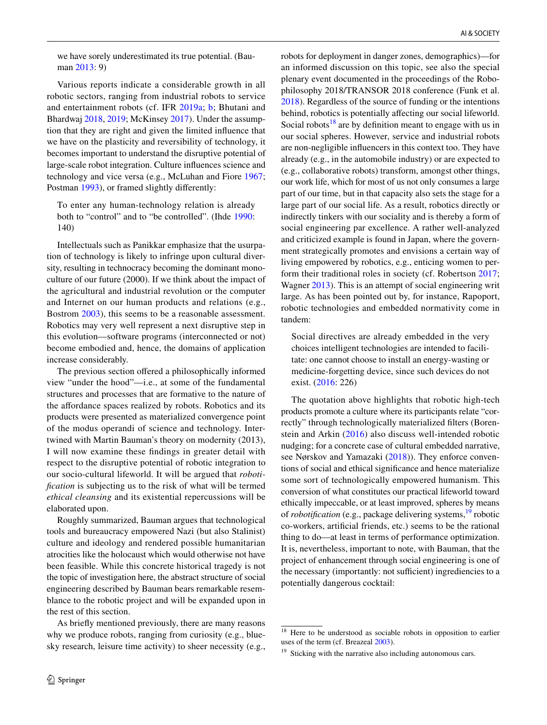we have sorely underestimated its true potential. (Bauman [2013](#page-13-1): 9)

Various reports indicate a considerable growth in all robotic sectors, ranging from industrial robots to service and entertainment robots (cf. IFR [2019a;](#page-14-17) [b](#page-14-18); Bhutani and Bhardwaj [2018](#page-13-2), [2019;](#page-13-3) McKinsey [2017\)](#page-15-10). Under the assumption that they are right and given the limited infuence that we have on the plasticity and reversibility of technology, it becomes important to understand the disruptive potential of large-scale robot integration. Culture infuences science and technology and vice versa (e.g., McLuhan and Fiore [1967](#page-15-14); Postman [1993](#page-15-5)), or framed slightly diferently:

To enter any human-technology relation is already both to "control" and to "be controlled". (Ihde [1990:](#page-14-19) 140)

Intellectuals such as Panikkar emphasize that the usurpation of technology is likely to infringe upon cultural diversity, resulting in technocracy becoming the dominant monoculture of our future (2000). If we think about the impact of the agricultural and industrial revolution or the computer and Internet on our human products and relations (e.g., Bostrom [2003](#page-14-20)), this seems to be a reasonable assessment. Robotics may very well represent a next disruptive step in this evolution—software programs (interconnected or not) become embodied and, hence, the domains of application increase considerably.

The previous section offered a philosophically informed view "under the hood"—i.e., at some of the fundamental structures and processes that are formative to the nature of the afordance spaces realized by robots. Robotics and its products were presented as materialized convergence point of the modus operandi of science and technology. Intertwined with Martin Bauman's theory on modernity (2013), I will now examine these fndings in greater detail with respect to the disruptive potential of robotic integration to our socio-cultural lifeworld. It will be argued that *robotifcation* is subjecting us to the risk of what will be termed *ethical cleansing* and its existential repercussions will be elaborated upon.

Roughly summarized, Bauman argues that technological tools and bureaucracy empowered Nazi (but also Stalinist) culture and ideology and rendered possible humanitarian atrocities like the holocaust which would otherwise not have been feasible. While this concrete historical tragedy is not the topic of investigation here, the abstract structure of social engineering described by Bauman bears remarkable resemblance to the robotic project and will be expanded upon in the rest of this section.

As briefy mentioned previously, there are many reasons why we produce robots, ranging from curiosity (e.g., bluesky research, leisure time activity) to sheer necessity (e.g., robots for deployment in danger zones, demographics)—for an informed discussion on this topic, see also the special plenary event documented in the proceedings of the Robophilosophy 2018/TRANSOR 2018 conference (Funk et al. [2018](#page-14-21)). Regardless of the source of funding or the intentions behind, robotics is potentially affecting our social lifeworld. Social robots<sup>[18](#page-5-0)</sup> are by definition meant to engage with us in our social spheres. However, service and industrial robots are non-negligible infuencers in this context too. They have already (e.g., in the automobile industry) or are expected to (e.g., collaborative robots) transform, amongst other things, our work life, which for most of us not only consumes a large part of our time, but in that capacity also sets the stage for a large part of our social life. As a result, robotics directly or indirectly tinkers with our sociality and is thereby a form of social engineering par excellence. A rather well-analyzed and criticized example is found in Japan, where the government strategically promotes and envisions a certain way of living empowered by robotics, e.g., enticing women to perform their traditional roles in society (cf. Robertson [2017](#page-15-0); Wagner [2013\)](#page-16-0). This is an attempt of social engineering writ large. As has been pointed out by, for instance, Rapoport, robotic technologies and embedded normativity come in tandem:

Social directives are already embedded in the very choices intelligent technologies are intended to facilitate: one cannot choose to install an energy-wasting or medicine-forgetting device, since such devices do not exist. ([2016:](#page-15-15) 226)

The quotation above highlights that robotic high-tech products promote a culture where its participants relate "correctly" through technologically materialized flters (Borenstein and Arkin ([2016](#page-14-22)) also discuss well-intended robotic nudging; for a concrete case of cultural embedded narrative, see Nørskov and Yamazaki [\(2018\)](#page-15-16)). They enforce conventions of social and ethical signifcance and hence materialize some sort of technologically empowered humanism. This conversion of what constitutes our practical lifeworld toward ethically impeccable, or at least improved, spheres by means of *robotification* (e.g., package delivering systems,<sup>19</sup> robotic co-workers, artifcial friends, etc.) seems to be the rational thing to do—at least in terms of performance optimization. It is, nevertheless, important to note, with Bauman, that the project of enhancement through social engineering is one of the necessary (importantly: not sufficient) ingrediencies to a potentially dangerous cocktail:

<span id="page-5-0"></span><sup>&</sup>lt;sup>18</sup> Here to be understood as sociable robots in opposition to earlier uses of the term (cf. Breazeal [2003](#page-14-23)).

<span id="page-5-1"></span><sup>&</sup>lt;sup>19</sup> Sticking with the narrative also including autonomous cars.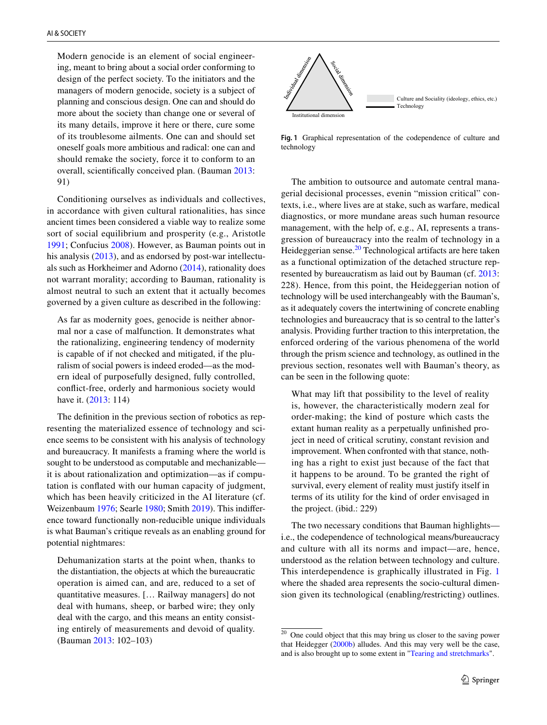Modern genocide is an element of social engineering, meant to bring about a social order conforming to design of the perfect society. To the initiators and the managers of modern genocide, society is a subject of planning and conscious design. One can and should do more about the society than change one or several of its many details, improve it here or there, cure some of its troublesome ailments. One can and should set oneself goals more ambitious and radical: one can and should remake the society, force it to conform to an overall, scientifcally conceived plan. (Bauman [2013](#page-13-1): 91)

Conditioning ourselves as individuals and collectives, in accordance with given cultural rationalities, has since ancient times been considered a viable way to realize some sort of social equilibrium and prosperity (e.g., Aristotle [1991](#page-13-4); Confucius [2008](#page-14-24)). However, as Bauman points out in his analysis [\(2013](#page-13-1)), and as endorsed by post-war intellectuals such as Horkheimer and Adorno [\(2014](#page-14-25)), rationality does not warrant morality; according to Bauman, rationality is almost neutral to such an extent that it actually becomes governed by a given culture as described in the following:

As far as modernity goes, genocide is neither abnormal nor a case of malfunction. It demonstrates what the rationalizing, engineering tendency of modernity is capable of if not checked and mitigated, if the pluralism of social powers is indeed eroded—as the modern ideal of purposefully designed, fully controlled, confict-free, orderly and harmonious society would have it. [\(2013:](#page-13-1) 114)

The defnition in the previous section of robotics as representing the materialized essence of technology and science seems to be consistent with his analysis of technology and bureaucracy. It manifests a framing where the world is sought to be understood as computable and mechanizable it is about rationalization and optimization—as if computation is confated with our human capacity of judgment, which has been heavily criticized in the AI literature (cf. Weizenbaum [1976](#page-16-6); Searle [1980](#page-15-17); Smith [2019\)](#page-16-7). This indiference toward functionally non-reducible unique individuals is what Bauman's critique reveals as an enabling ground for potential nightmares:

Dehumanization starts at the point when, thanks to the distantiation, the objects at which the bureaucratic operation is aimed can, and are, reduced to a set of quantitative measures. [… Railway managers] do not deal with humans, sheep, or barbed wire; they only deal with the cargo, and this means an entity consisting entirely of measurements and devoid of quality. (Bauman [2013:](#page-13-1) 102–103)



<span id="page-6-1"></span>**Fig. 1** Graphical representation of the codependence of culture and technology

The ambition to outsource and automate central managerial decisional processes, evenin "mission critical" contexts, i.e., where lives are at stake, such as warfare, medical diagnostics, or more mundane areas such human resource management, with the help of, e.g., AI, represents a transgression of bureaucracy into the realm of technology in a Heideggerian sense.<sup>[20](#page-6-0)</sup> Technological artifacts are here taken as a functional optimization of the detached structure represented by bureaucratism as laid out by Bauman (cf. [2013](#page-13-1): 228). Hence, from this point, the Heideggerian notion of technology will be used interchangeably with the Bauman's, as it adequately covers the intertwining of concrete enabling technologies and bureaucracy that is so central to the latter's analysis. Providing further traction to this interpretation, the enforced ordering of the various phenomena of the world through the prism science and technology, as outlined in the previous section, resonates well with Bauman's theory, as can be seen in the following quote:

What may lift that possibility to the level of reality is, however, the characteristically modern zeal for order-making; the kind of posture which casts the extant human reality as a perpetually unfnished project in need of critical scrutiny, constant revision and improvement. When confronted with that stance, nothing has a right to exist just because of the fact that it happens to be around. To be granted the right of survival, every element of reality must justify itself in terms of its utility for the kind of order envisaged in the project. (ibid.: 229)

The two necessary conditions that Bauman highlights i.e., the codependence of technological means/bureaucracy and culture with all its norms and impact—are, hence, understood as the relation between technology and culture. This interdependence is graphically illustrated in Fig. [1](#page-6-1) where the shaded area represents the socio-cultural dimension given its technological (enabling/restricting) outlines.

<span id="page-6-0"></span><sup>&</sup>lt;sup>20</sup> One could object that this may bring us closer to the saving power that Heidegger ([2000b\)](#page-14-9) alludes. And this may very well be the case, and is also brought up to some extent in ["Tearing and stretchmarks"](#page-9-0).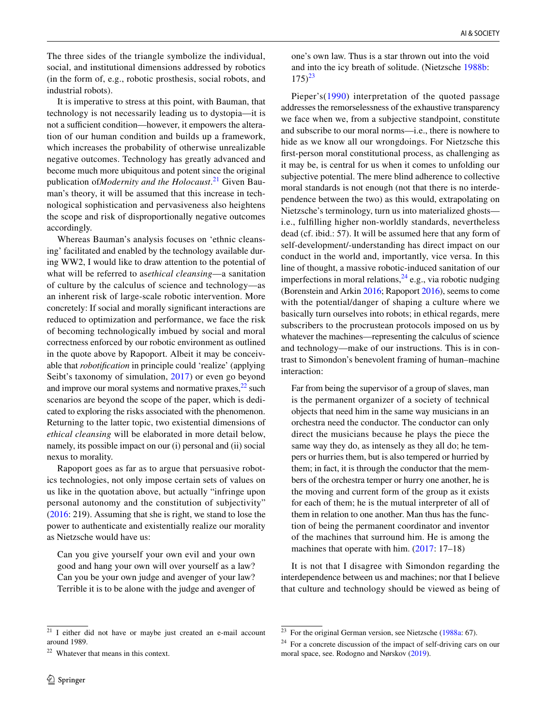The three sides of the triangle symbolize the individual, social, and institutional dimensions addressed by robotics (in the form of, e.g., robotic prosthesis, social robots, and industrial robots).

It is imperative to stress at this point, with Bauman, that technology is not necessarily leading us to dystopia—it is not a sufficient condition—however, it empowers the alteration of our human condition and builds up a framework, which increases the probability of otherwise unrealizable negative outcomes. Technology has greatly advanced and become much more ubiquitous and potent since the original publication of*Modernity and the Holocaust*. [21](#page-7-0) Given Bauman's theory, it will be assumed that this increase in technological sophistication and pervasiveness also heightens the scope and risk of disproportionally negative outcomes accordingly.

Whereas Bauman's analysis focuses on 'ethnic cleansing' facilitated and enabled by the technology available during WW2, I would like to draw attention to the potential of what will be referred to as*ethical cleansing*—a sanitation of culture by the calculus of science and technology—as an inherent risk of large-scale robotic intervention. More concretely: If social and morally signifcant interactions are reduced to optimization and performance, we face the risk of becoming technologically imbued by social and moral correctness enforced by our robotic environment as outlined in the quote above by Rapoport. Albeit it may be conceivable that *robotifcation* in principle could 'realize' (applying Seibt's taxonomy of simulation, [2017\)](#page-15-1) or even go beyond and improve our moral systems and normative praxes, $^{22}$  such scenarios are beyond the scope of the paper, which is dedicated to exploring the risks associated with the phenomenon. Returning to the latter topic, two existential dimensions of *ethical cleansing* will be elaborated in more detail below, namely, its possible impact on our (i) personal and (ii) social nexus to morality.

Rapoport goes as far as to argue that persuasive robotics technologies, not only impose certain sets of values on us like in the quotation above, but actually "infringe upon personal autonomy and the constitution of subjectivity" [\(2016](#page-15-15): 219). Assuming that she is right, we stand to lose the power to authenticate and existentially realize our morality as Nietzsche would have us:

Can you give yourself your own evil and your own good and hang your own will over yourself as a law? Can you be your own judge and avenger of your law? Terrible it is to be alone with the judge and avenger of one's own law. Thus is a star thrown out into the void and into the icy breath of solitude. (Nietzsche [1988b](#page-15-18):  $175)^{23}$  $175)^{23}$  $175)^{23}$ 

Pieper's([1990](#page-15-19)) interpretation of the quoted passage addresses the remorselessness of the exhaustive transparency we face when we, from a subjective standpoint, constitute and subscribe to our moral norms—i.e., there is nowhere to hide as we know all our wrongdoings. For Nietzsche this frst-person moral constitutional process, as challenging as it may be, is central for us when it comes to unfolding our subjective potential. The mere blind adherence to collective moral standards is not enough (not that there is no interdependence between the two) as this would, extrapolating on Nietzsche's terminology, turn us into materialized ghosts i.e., fulflling higher non-worldly standards, nevertheless dead (cf. ibid.: 57). It will be assumed here that any form of self-development/-understanding has direct impact on our conduct in the world and, importantly, vice versa. In this line of thought, a massive robotic-induced sanitation of our imperfections in moral relations,  $^{24}$  $^{24}$  $^{24}$  e.g., via robotic nudging (Borenstein and Arkin [2016](#page-14-22); Rapoport [2016\)](#page-15-15), seems to come with the potential/danger of shaping a culture where we basically turn ourselves into robots; in ethical regards, mere subscribers to the procrustean protocols imposed on us by whatever the machines—representing the calculus of science and technology—make of our instructions. This is in contrast to Simondon's benevolent framing of human–machine interaction:

Far from being the supervisor of a group of slaves, man is the permanent organizer of a society of technical objects that need him in the same way musicians in an orchestra need the conductor. The conductor can only direct the musicians because he plays the piece the same way they do, as intensely as they all do; he tempers or hurries them, but is also tempered or hurried by them; in fact, it is through the conductor that the members of the orchestra temper or hurry one another, he is the moving and current form of the group as it exists for each of them; he is the mutual interpreter of all of them in relation to one another. Man thus has the function of being the permanent coordinator and inventor of the machines that surround him. He is among the machines that operate with him. [\(2017:](#page-16-8) 17–18)

It is not that I disagree with Simondon regarding the interdependence between us and machines; nor that I believe that culture and technology should be viewed as being of

<span id="page-7-0"></span> $\frac{21}{21}$  I either did not have or maybe just created an e-mail account around 1989.

<span id="page-7-1"></span><sup>22</sup> Whatever that means in this context.

<span id="page-7-2"></span> $23$  For the original German version, see Nietzsche ([1988a](#page-15-21): 67).

<span id="page-7-3"></span> $24$  For a concrete discussion of the impact of self-driving cars on our moral space, see. Rodogno and Nørskov ([2019\)](#page-15-20).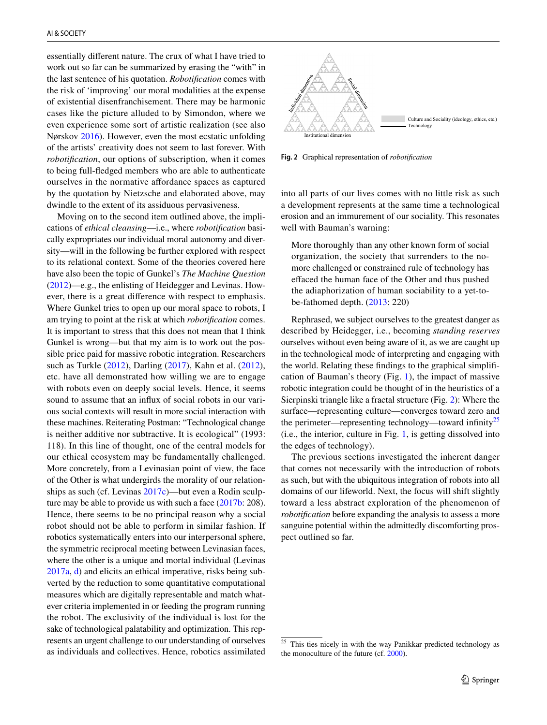essentially diferent nature. The crux of what I have tried to work out so far can be summarized by erasing the "with" in the last sentence of his quotation. *Robotifcation* comes with the risk of 'improving' our moral modalities at the expense of existential disenfranchisement. There may be harmonic cases like the picture alluded to by Simondon, where we even experience some sort of artistic realization (see also Nørskov [2016](#page-15-8)). However, even the most ecstatic unfolding of the artists' creativity does not seem to last forever. With *robotifcation*, our options of subscription, when it comes to being full-fedged members who are able to authenticate ourselves in the normative afordance spaces as captured by the quotation by Nietzsche and elaborated above, may dwindle to the extent of its assiduous pervasiveness.

Moving on to the second item outlined above, the implications of *ethical cleansing*—i.e., where *robotifcation* basically expropriates our individual moral autonomy and diversity—will in the following be further explored with respect to its relational context. Some of the theories covered here have also been the topic of Gunkel's *The Machine Question* [\(2012](#page-14-4))—e.g., the enlisting of Heidegger and Levinas. However, there is a great diference with respect to emphasis. Where Gunkel tries to open up our moral space to robots, I am trying to point at the risk at which *robotifcation* comes. It is important to stress that this does not mean that I think Gunkel is wrong—but that my aim is to work out the possible price paid for massive robotic integration. Researchers such as Turkle [\(2012\)](#page-16-1), Darling ([2017\)](#page-14-26), Kahn et al. ([2012](#page-14-27)), etc. have all demonstrated how willing we are to engage with robots even on deeply social levels. Hence, it seems sound to assume that an infux of social robots in our various social contexts will result in more social interaction with these machines. Reiterating Postman: "Technological change is neither additive nor subtractive. It is ecological" (1993: 118). In this line of thought, one of the central models for our ethical ecosystem may be fundamentally challenged. More concretely, from a Levinasian point of view, the face of the Other is what undergirds the morality of our relationships as such (cf. Levinas [2017c\)](#page-15-22)—but even a Rodin sculpture may be able to provide us with such a face [\(2017b:](#page-15-23) 208). Hence, there seems to be no principal reason why a social robot should not be able to perform in similar fashion. If robotics systematically enters into our interpersonal sphere, the symmetric reciprocal meeting between Levinasian faces, where the other is a unique and mortal individual (Levinas [2017a,](#page-15-24) [d\)](#page-15-25) and elicits an ethical imperative, risks being subverted by the reduction to some quantitative computational measures which are digitally representable and match whatever criteria implemented in or feeding the program running the robot. The exclusivity of the individual is lost for the sake of technological palatability and optimization. This represents an urgent challenge to our understanding of ourselves as individuals and collectives. Hence, robotics assimilated



<span id="page-8-0"></span>**Fig. 2** Graphical representation of *robotifcation*

into all parts of our lives comes with no little risk as such a development represents at the same time a technological erosion and an immurement of our sociality. This resonates well with Bauman's warning:

More thoroughly than any other known form of social organization, the society that surrenders to the nomore challenged or constrained rule of technology has efaced the human face of the Other and thus pushed the adiaphorization of human sociability to a yet-tobe-fathomed depth. ([2013:](#page-13-1) 220)

Rephrased, we subject ourselves to the greatest danger as described by Heidegger, i.e., becoming *standing reserves* ourselves without even being aware of it, as we are caught up in the technological mode of interpreting and engaging with the world. Relating these fndings to the graphical simplifcation of Bauman's theory (Fig. [1](#page-6-1)), the impact of massive robotic integration could be thought of in the heuristics of a Sierpinski triangle like a fractal structure (Fig. [2](#page-8-0)): Where the surface—representing culture—converges toward zero and the perimeter—representing technology—toward infinity<sup>[25](#page-8-1)</sup> (i.e., the interior, culture in Fig. [1,](#page-6-1) is getting dissolved into the edges of technology).

The previous sections investigated the inherent danger that comes not necessarily with the introduction of robots as such, but with the ubiquitous integration of robots into all domains of our lifeworld. Next, the focus will shift slightly toward a less abstract exploration of the phenomenon of *robotifcation* before expanding the analysis to assess a more sanguine potential within the admittedly discomforting prospect outlined so far.

<span id="page-8-1"></span><sup>&</sup>lt;sup>25</sup> This ties nicely in with the way Panikkar predicted technology as the monoculture of the future (cf. [2000\)](#page-15-26).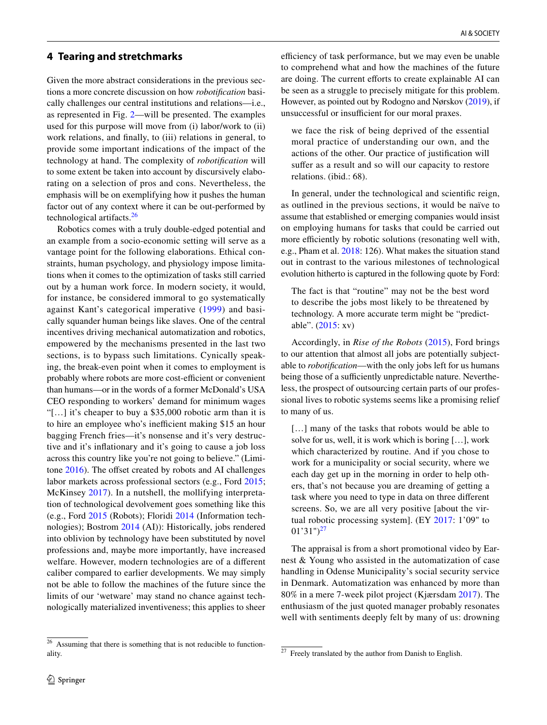#### <span id="page-9-0"></span>**4 Tearing and stretchmarks**

Given the more abstract considerations in the previous sections a more concrete discussion on how *robotifcation* basically challenges our central institutions and relations—i.e., as represented in Fig. [2—](#page-8-0)will be presented. The examples used for this purpose will move from (i) labor/work to (ii) work relations, and fnally, to (iii) relations in general, to provide some important indications of the impact of the technology at hand. The complexity of *robotifcation* will to some extent be taken into account by discursively elaborating on a selection of pros and cons. Nevertheless, the emphasis will be on exemplifying how it pushes the human factor out of any context where it can be out-performed by technological artifacts.[26](#page-9-1)

Robotics comes with a truly double-edged potential and an example from a socio-economic setting will serve as a vantage point for the following elaborations. Ethical constraints, human psychology, and physiology impose limitations when it comes to the optimization of tasks still carried out by a human work force. In modern society, it would, for instance, be considered immoral to go systematically against Kant's categorical imperative ([1999\)](#page-14-28) and basically squander human beings like slaves. One of the central incentives driving mechanical automatization and robotics, empowered by the mechanisms presented in the last two sections, is to bypass such limitations. Cynically speaking, the break-even point when it comes to employment is probably where robots are more cost-efficient or convenient than humans—or in the words of a former McDonald's USA CEO responding to workers' demand for minimum wages "[…] it's cheaper to buy a \$35,000 robotic arm than it is to hire an employee who's inefficient making \$15 an hour bagging French fries—it's nonsense and it's very destructive and it's infationary and it's going to cause a job loss across this country like you're not going to believe." (Limitone  $2016$ ). The offset created by robots and AI challenges labor markets across professional sectors (e.g., Ford [2015](#page-14-1); McKinsey [2017](#page-15-10)). In a nutshell, the mollifying interpretation of technological devolvement goes something like this (e.g., Ford [2015](#page-14-1) (Robots); Floridi [2014](#page-14-29) (Information technologies); Bostrom [2014](#page-14-30) (AI)): Historically, jobs rendered into oblivion by technology have been substituted by novel professions and, maybe more importantly, have increased welfare. However, modern technologies are of a diferent caliber compared to earlier developments. We may simply not be able to follow the machines of the future since the limits of our 'wetware' may stand no chance against technologically materialized inventiveness; this applies to sheer

efficiency of task performance, but we may even be unable to comprehend what and how the machines of the future are doing. The current efforts to create explainable AI can be seen as a struggle to precisely mitigate for this problem. However, as pointed out by Rodogno and Nørskov [\(2019](#page-15-20)), if unsuccessful or insufficient for our moral praxes.

we face the risk of being deprived of the essential moral practice of understanding our own, and the actions of the other. Our practice of justifcation will suffer as a result and so will our capacity to restore relations. (ibid.: 68).

In general, under the technological and scientifc reign, as outlined in the previous sections, it would be naïve to assume that established or emerging companies would insist on employing humans for tasks that could be carried out more efficiently by robotic solutions (resonating well with, e.g., Pham et al. [2018:](#page-15-28) 126). What makes the situation stand out in contrast to the various milestones of technological evolution hitherto is captured in the following quote by Ford:

The fact is that "routine" may not be the best word to describe the jobs most likely to be threatened by technology. A more accurate term might be "predictable". [\(2015](#page-14-1): xv)

Accordingly, in *Rise of the Robots* ([2015](#page-14-1)), Ford brings to our attention that almost all jobs are potentially subjectable to *robotifcation*—with the only jobs left for us humans being those of a sufficiently unpredictable nature. Nevertheless, the prospect of outsourcing certain parts of our professional lives to robotic systems seems like a promising relief to many of us.

[...] many of the tasks that robots would be able to solve for us, well, it is work which is boring […], work which characterized by routine. And if you chose to work for a municipality or social security, where we each day get up in the morning in order to help others, that's not because you are dreaming of getting a task where you need to type in data on three diferent screens. So, we are all very positive [about the virtual robotic processing system]. (EY [2017](#page-14-31): 1'09" to  $(01'31'')^{27}$  $(01'31'')^{27}$  $(01'31'')^{27}$ 

The appraisal is from a short promotional video by Earnest & Young who assisted in the automatization of case handling in Odense Municipality's social security service in Denmark. Automatization was enhanced by more than 80% in a mere 7-week pilot project (Kjærsdam [2017\)](#page-15-29). The enthusiasm of the just quoted manager probably resonates well with sentiments deeply felt by many of us: drowning

<span id="page-9-1"></span><sup>&</sup>lt;sup>26</sup> Assuming that there is something that is not reducible to functionality.

<span id="page-9-2"></span> $27$  Freely translated by the author from Danish to English.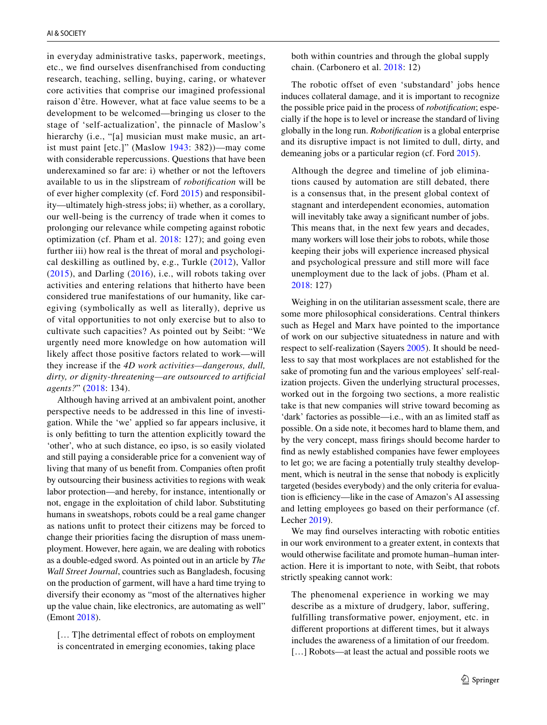in everyday administrative tasks, paperwork, meetings, etc., we fnd ourselves disenfranchised from conducting research, teaching, selling, buying, caring, or whatever core activities that comprise our imagined professional raison d'être. However, what at face value seems to be a development to be welcomed—bringing us closer to the stage of 'self-actualization', the pinnacle of Maslow's hierarchy (*i.e.*, "[a] musician must make music, an artist must paint [etc.]" (Maslow [1943:](#page-15-30) 382))—may come with considerable repercussions. Questions that have been underexamined so far are: i) whether or not the leftovers available to us in the slipstream of *robotifcation* will be of ever higher complexity (cf. Ford [2015](#page-14-1)) and responsibility—ultimately high-stress jobs; ii) whether, as a corollary, our well-being is the currency of trade when it comes to prolonging our relevance while competing against robotic optimization (cf. Pham et al. [2018:](#page-15-28) 127); and going even further iii) how real is the threat of moral and psychological deskilling as outlined by, e.g., Turkle ([2012\)](#page-16-1), Vallor ([2015\)](#page-16-9), and Darling [\(2016\)](#page-14-32), i.e., will robots taking over activities and entering relations that hitherto have been considered true manifestations of our humanity, like caregiving (symbolically as well as literally), deprive us of vital opportunities to not only exercise but to also to cultivate such capacities? As pointed out by Seibt: "We urgently need more knowledge on how automation will likely afect those positive factors related to work—will they increase if the *4D work activities—dangerous, dull, dirty, or dignity-threatening—are outsourced to artifcial agents?*" ([2018:](#page-15-31) 134).

Although having arrived at an ambivalent point, another perspective needs to be addressed in this line of investigation. While the 'we' applied so far appears inclusive, it is only beftting to turn the attention explicitly toward the 'other', who at such distance, eo ipso, is so easily violated and still paying a considerable price for a convenient way of living that many of us beneft from. Companies often proft by outsourcing their business activities to regions with weak labor protection—and hereby, for instance, intentionally or not, engage in the exploitation of child labor. Substituting humans in sweatshops, robots could be a real game changer as nations unft to protect their citizens may be forced to change their priorities facing the disruption of mass unemployment. However, here again, we are dealing with robotics as a double-edged sword. As pointed out in an article by *The Wall Street Journal*, countries such as Bangladesh, focusing on the production of garment, will have a hard time trying to diversify their economy as "most of the alternatives higher up the value chain, like electronics, are automating as well" (Emont [2018\)](#page-14-33).

[... T]he detrimental effect of robots on employment is concentrated in emerging economies, taking place

both within countries and through the global supply chain. (Carbonero et al. [2018:](#page-14-34) 12)

The robotic offset of even 'substandard' jobs hence induces collateral damage, and it is important to recognize the possible price paid in the process of *robotifcation*; especially if the hope is to level or increase the standard of living globally in the long run. *Robotifcation* is a global enterprise and its disruptive impact is not limited to dull, dirty, and demeaning jobs or a particular region (cf. Ford [2015\)](#page-14-1).

Although the degree and timeline of job eliminations caused by automation are still debated, there is a consensus that, in the present global context of stagnant and interdependent economies, automation will inevitably take away a significant number of jobs. This means that, in the next few years and decades, many workers will lose their jobs to robots, while those keeping their jobs will experience increased physical and psychological pressure and still more will face unemployment due to the lack of jobs. (Pham et al. [2018:](#page-15-28) 127)

Weighing in on the utilitarian assessment scale, there are some more philosophical considerations. Central thinkers such as Hegel and Marx have pointed to the importance of work on our subjective situatedness in nature and with respect to self-realization (Sayers [2005](#page-15-32)). It should be needless to say that most workplaces are not established for the sake of promoting fun and the various employees' self-realization projects. Given the underlying structural processes, worked out in the forgoing two sections, a more realistic take is that new companies will strive toward becoming as 'dark' factories as possible—i.e., with an as limited staff as possible. On a side note, it becomes hard to blame them, and by the very concept, mass frings should become harder to fnd as newly established companies have fewer employees to let go; we are facing a potentially truly stealthy development, which is neutral in the sense that nobody is explicitly targeted (besides everybody) and the only criteria for evaluation is efficiency—like in the case of Amazon's AI assessing and letting employees go based on their performance (cf. Lecher [2019\)](#page-15-33).

We may fnd ourselves interacting with robotic entities in our work environment to a greater extent, in contexts that would otherwise facilitate and promote human–human interaction. Here it is important to note, with Seibt, that robots strictly speaking cannot work:

The phenomenal experience in working we may describe as a mixture of drudgery, labor, sufering, fulfilling transformative power, enjoyment, etc. in diferent proportions at diferent times, but it always includes the awareness of a limitation of our freedom. [...] Robots—at least the actual and possible roots we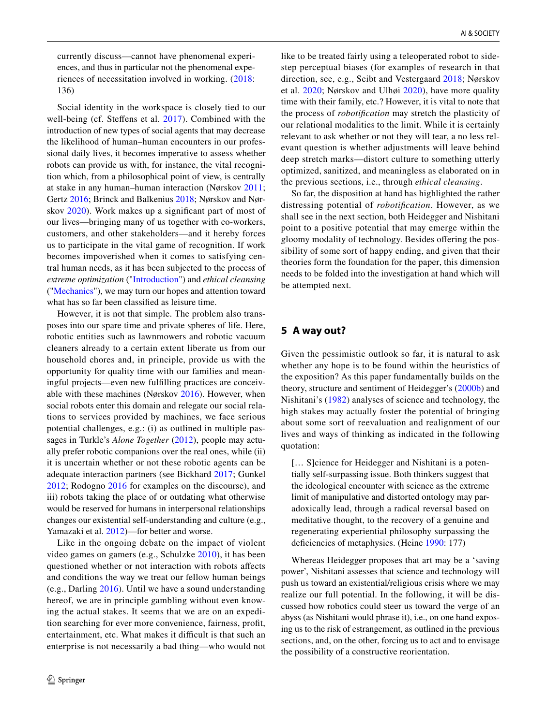currently discuss—cannot have phenomenal experiences, and thus in particular not the phenomenal experiences of necessitation involved in working. [\(2018:](#page-15-31) 136)

Social identity in the workspace is closely tied to our well-being (cf. Steffens et al. [2017](#page-16-10)). Combined with the introduction of new types of social agents that may decrease the likelihood of human–human encounters in our professional daily lives, it becomes imperative to assess whether robots can provide us with, for instance, the vital recognition which, from a philosophical point of view, is centrally at stake in any human–human interaction (Nørskov [2011](#page-15-7); Gertz [2016](#page-14-35); Brinck and Balkenius [2018;](#page-14-36) Nørskov and Nørskov [2020\)](#page-15-34). Work makes up a signifcant part of most of our lives—bringing many of us together with co-workers, customers, and other stakeholders—and it hereby forces us to participate in the vital game of recognition. If work becomes impoverished when it comes to satisfying central human needs, as it has been subjected to the process of *extreme optimization* ("[Introduction"](#page-0-2)) and *ethical cleansing* (["Mechanics"](#page-1-0)), we may turn our hopes and attention toward what has so far been classifed as leisure time.

However, it is not that simple. The problem also transposes into our spare time and private spheres of life. Here, robotic entities such as lawnmowers and robotic vacuum cleaners already to a certain extent liberate us from our household chores and, in principle, provide us with the opportunity for quality time with our families and meaningful projects—even new fulflling practices are conceivable with these machines (Nørskov [2016](#page-15-8)). However, when social robots enter this domain and relegate our social relations to services provided by machines, we face serious potential challenges, e.g.: (i) as outlined in multiple passages in Turkle's *Alone Together* [\(2012](#page-16-1)), people may actually prefer robotic companions over the real ones, while (ii) it is uncertain whether or not these robotic agents can be adequate interaction partners (see Bickhard [2017](#page-14-37); Gunkel [2012;](#page-14-4) Rodogno [2016](#page-15-35) for examples on the discourse), and iii) robots taking the place of or outdating what otherwise would be reserved for humans in interpersonal relationships changes our existential self-understanding and culture (e.g., Yamazaki et al. [2012\)](#page-16-11)—for better and worse.

Like in the ongoing debate on the impact of violent video games on gamers (e.g., Schulzke [2010](#page-15-36)), it has been questioned whether or not interaction with robots afects and conditions the way we treat our fellow human beings (e.g., Darling [2016](#page-14-32)). Until we have a sound understanding hereof, we are in principle gambling without even knowing the actual stakes. It seems that we are on an expedition searching for ever more convenience, fairness, proft, entertainment, etc. What makes it difficult is that such an enterprise is not necessarily a bad thing—who would not

like to be treated fairly using a teleoperated robot to sidestep perceptual biases (for examples of research in that direction, see, e.g., Seibt and Vestergaard [2018](#page-15-37); Nørskov et al. [2020;](#page-15-38) Nørskov and Ulhøi [2020](#page-15-39)), have more quality time with their family, etc.? However, it is vital to note that the process of *robotifcation* may stretch the plasticity of our relational modalities to the limit. While it is certainly relevant to ask whether or not they will tear, a no less relevant question is whether adjustments will leave behind deep stretch marks—distort culture to something utterly optimized, sanitized, and meaningless as elaborated on in the previous sections, i.e., through *ethical cleansing*.

So far, the disposition at hand has highlighted the rather distressing potential of *robotifcation*. However, as we shall see in the next section, both Heidegger and Nishitani point to a positive potential that may emerge within the gloomy modality of technology. Besides ofering the possibility of some sort of happy ending, and given that their theories form the foundation for the paper, this dimension needs to be folded into the investigation at hand which will be attempted next.

## <span id="page-11-0"></span>**5 A way out?**

Given the pessimistic outlook so far, it is natural to ask whether any hope is to be found within the heuristics of the exposition? As this paper fundamentally builds on the theory, structure and sentiment of Heidegger's ([2000b\)](#page-14-9) and Nishitani's ([1982\)](#page-15-9) analyses of science and technology, the high stakes may actually foster the potential of bringing about some sort of reevaluation and realignment of our lives and ways of thinking as indicated in the following quotation:

[… S]cience for Heidegger and Nishitani is a potentially self-surpassing issue. Both thinkers suggest that the ideological encounter with science as the extreme limit of manipulative and distorted ontology may paradoxically lead, through a radical reversal based on meditative thought, to the recovery of a genuine and regenerating experiential philosophy surpassing the deficiencies of metaphysics. (Heine [1990](#page-14-7): 177)

Whereas Heidegger proposes that art may be a 'saving power', Nishitani assesses that science and technology will push us toward an existential/religious crisis where we may realize our full potential. In the following, it will be discussed how robotics could steer us toward the verge of an abyss (as Nishitani would phrase it), i.e., on one hand exposing us to the risk of estrangement, as outlined in the previous sections, and, on the other, forcing us to act and to envisage the possibility of a constructive reorientation.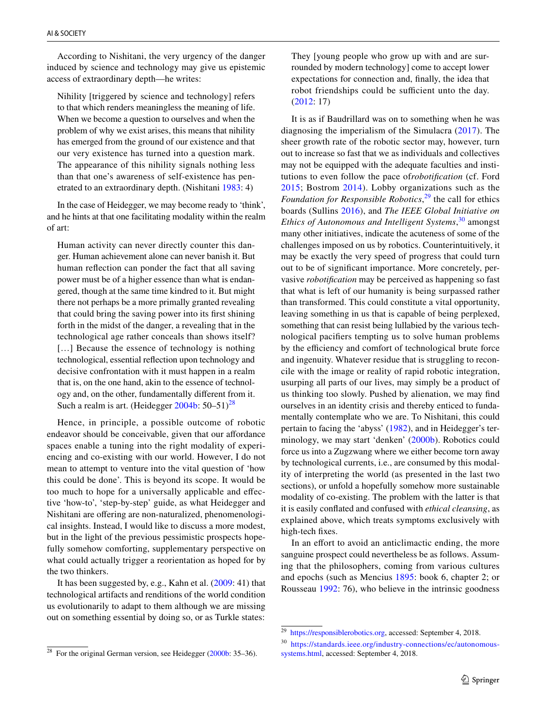According to Nishitani, the very urgency of the danger induced by science and technology may give us epistemic access of extraordinary depth—he writes:

Nihility [triggered by science and technology] refers to that which renders meaningless the meaning of life. When we become a question to ourselves and when the problem of why we exist arises, this means that nihility has emerged from the ground of our existence and that our very existence has turned into a question mark. The appearance of this nihility signals nothing less than that one's awareness of self-existence has penetrated to an extraordinary depth. (Nishitani [1983](#page-15-40): 4)

In the case of Heidegger, we may become ready to 'think', and he hints at that one facilitating modality within the realm of art:

Human activity can never directly counter this danger. Human achievement alone can never banish it. But human refection can ponder the fact that all saving power must be of a higher essence than what is endangered, though at the same time kindred to it. But might there not perhaps be a more primally granted revealing that could bring the saving power into its frst shining forth in the midst of the danger, a revealing that in the technological age rather conceals than shows itself? [...] Because the essence of technology is nothing technological, essential refection upon technology and decisive confrontation with it must happen in a realm that is, on the one hand, akin to the essence of technology and, on the other, fundamentally diferent from it. Such a realm is art. (Heidegger  $2004b: 50-51<sup>28</sup>$  $2004b: 50-51<sup>28</sup>$  $2004b: 50-51<sup>28</sup>$ 

Hence, in principle, a possible outcome of robotic endeavor should be conceivable, given that our affordance spaces enable a tuning into the right modality of experiencing and co-existing with our world. However, I do not mean to attempt to venture into the vital question of 'how this could be done'. This is beyond its scope. It would be too much to hope for a universally applicable and efective 'how-to', 'step-by-step' guide, as what Heidegger and Nishitani are ofering are non-naturalized, phenomenological insights. Instead, I would like to discuss a more modest, but in the light of the previous pessimistic prospects hopefully somehow comforting, supplementary perspective on what could actually trigger a reorientation as hoped for by the two thinkers.

It has been suggested by, e.g., Kahn et al. ([2009](#page-14-38): 41) that technological artifacts and renditions of the world condition us evolutionarily to adapt to them although we are missing out on something essential by doing so, or as Turkle states:

<span id="page-12-0"></span><sup>28</sup> For the original German version, see Heidegger [\(2000b:](#page-14-9) 35–36).

They [young people who grow up with and are surrounded by modern technology] come to accept lower expectations for connection and, fnally, the idea that robot friendships could be sufficient unto the day. ([2012](#page-16-1): 17)

It is as if Baudrillard was on to something when he was diagnosing the imperialism of the Simulacra ([2017](#page-13-5)). The sheer growth rate of the robotic sector may, however, turn out to increase so fast that we as individuals and collectives may not be equipped with the adequate faculties and institutions to even follow the pace of*robotifcation* (cf. Ford [2015](#page-14-1); Bostrom [2014\)](#page-14-30). Lobby organizations such as the *Foundation for Responsible Robotics*, [29](#page-12-1) the call for ethics boards (Sullins [2016](#page-16-12)), and *The IEEE Global Initiative on Ethics of Autonomous and Intelligent Systems*, [30](#page-12-2) amongst many other initiatives, indicate the acuteness of some of the challenges imposed on us by robotics. Counterintuitively, it may be exactly the very speed of progress that could turn out to be of signifcant importance. More concretely, pervasive *robotifcation* may be perceived as happening so fast that what is left of our humanity is being surpassed rather than transformed. This could constitute a vital opportunity, leaving something in us that is capable of being perplexed, something that can resist being lullabied by the various technological pacifers tempting us to solve human problems by the efficiency and comfort of technological brute force and ingenuity. Whatever residue that is struggling to reconcile with the image or reality of rapid robotic integration, usurping all parts of our lives, may simply be a product of us thinking too slowly. Pushed by alienation, we may fnd ourselves in an identity crisis and thereby enticed to fundamentally contemplate who we are. To Nishitani, this could pertain to facing the 'abyss' ([1982\)](#page-15-9), and in Heidegger's terminology, we may start 'denken' ([2000b\)](#page-14-9). Robotics could force us into a Zugzwang where we either become torn away by technological currents, i.e., are consumed by this modality of interpreting the world (as presented in the last two sections), or unfold a hopefully somehow more sustainable modality of co-existing. The problem with the latter is that it is easily confated and confused with *ethical cleansing*, as explained above, which treats symptoms exclusively with high-tech fxes.

In an effort to avoid an anticlimactic ending, the more sanguine prospect could nevertheless be as follows. Assuming that the philosophers, coming from various cultures and epochs (such as Mencius [1895](#page-15-41): book 6, chapter 2; or Rousseau [1992:](#page-15-42) 76), who believe in the intrinsic goodness

<span id="page-12-1"></span><sup>29</sup> <https://responsiblerobotics.org>, accessed: September 4, 2018.

<span id="page-12-2"></span><sup>30</sup> [https://standards.ieee.org/industry-connections/ec/autonomous](https://standards.ieee.org/industry-connections/ec/autonomous-systems.html)[systems.html,](https://standards.ieee.org/industry-connections/ec/autonomous-systems.html) accessed: September 4, 2018.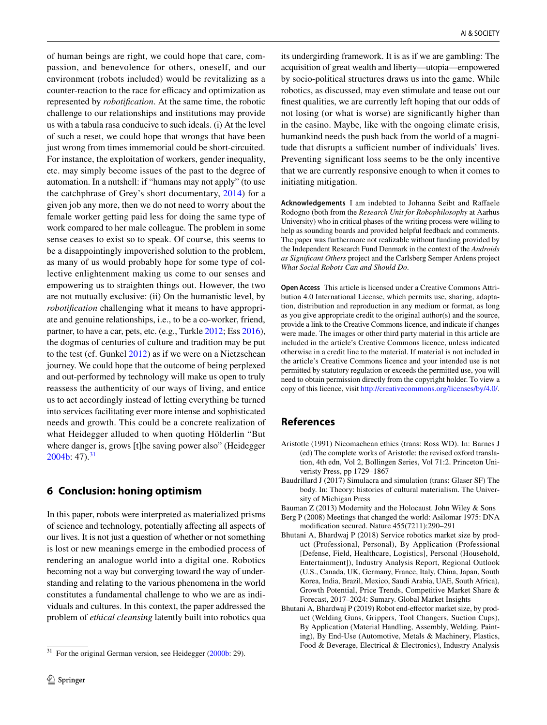of human beings are right, we could hope that care, compassion, and benevolence for others, oneself, and our environment (robots included) would be revitalizing as a counter-reaction to the race for efficacy and optimization as represented by *robotifcation*. At the same time, the robotic challenge to our relationships and institutions may provide us with a tabula rasa conducive to such ideals. (i) At the level of such a reset, we could hope that wrongs that have been just wrong from times immemorial could be short-circuited. For instance, the exploitation of workers, gender inequality, etc. may simply become issues of the past to the degree of automation. In a nutshell: if "humans may not apply" (to use the catchphrase of Grey's short documentary, [2014\)](#page-14-39) for a given job any more, then we do not need to worry about the female worker getting paid less for doing the same type of work compared to her male colleague. The problem in some sense ceases to exist so to speak. Of course, this seems to be a disappointingly impoverished solution to the problem, as many of us would probably hope for some type of collective enlightenment making us come to our senses and empowering us to straighten things out. However, the two are not mutually exclusive: (ii) On the humanistic level, by *robotifcation* challenging what it means to have appropriate and genuine relationships, i.e., to be a co-worker, friend, partner, to have a car, pets, etc. (e.g., Turkle [2012;](#page-16-1) Ess [2016](#page-14-40)), the dogmas of centuries of culture and tradition may be put to the test (cf. Gunkel [2012](#page-14-4)) as if we were on a Nietzschean journey. We could hope that the outcome of being perplexed and out-performed by technology will make us open to truly reassess the authenticity of our ways of living, and entice us to act accordingly instead of letting everything be turned into services facilitating ever more intense and sophisticated needs and growth. This could be a concrete realization of what Heidegger alluded to when quoting Hölderlin "But where danger is, grows [t]he saving power also" (Heidegger  $2004b: 47$  $2004b: 47$ .<sup>[31](#page-13-6)</sup>

# **6 Conclusion: honing optimism**

In this paper, robots were interpreted as materialized prisms of science and technology, potentially afecting all aspects of our lives. It is not just a question of whether or not something is lost or new meanings emerge in the embodied process of rendering an analogue world into a digital one. Robotics becoming not a way but converging toward the way of understanding and relating to the various phenomena in the world constitutes a fundamental challenge to who we are as individuals and cultures. In this context, the paper addressed the problem of *ethical cleansing* latently built into robotics qua

its undergirding framework. It is as if we are gambling: The acquisition of great wealth and liberty—utopia—empowered by socio-political structures draws us into the game. While robotics, as discussed, may even stimulate and tease out our fnest qualities, we are currently left hoping that our odds of not losing (or what is worse) are signifcantly higher than in the casino. Maybe, like with the ongoing climate crisis, humankind needs the push back from the world of a magnitude that disrupts a sufficient number of individuals' lives. Preventing signifcant loss seems to be the only incentive that we are currently responsive enough to when it comes to initiating mitigation.

**Acknowledgements** I am indebted to Johanna Seibt and Rafaele Rodogno (both from the *Research Unit for Robophilosophy* at Aarhus University) who in critical phases of the writing process were willing to help as sounding boards and provided helpful feedback and comments. The paper was furthermore not realizable without funding provided by the Independent Research Fund Denmark in the context of the *Androids as Signifcant Others* project and the Carlsberg Semper Ardens project *What Social Robots Can and Should Do*.

**Open Access** This article is licensed under a Creative Commons Attribution 4.0 International License, which permits use, sharing, adaptation, distribution and reproduction in any medium or format, as long as you give appropriate credit to the original author(s) and the source, provide a link to the Creative Commons licence, and indicate if changes were made. The images or other third party material in this article are included in the article's Creative Commons licence, unless indicated otherwise in a credit line to the material. If material is not included in the article's Creative Commons licence and your intended use is not permitted by statutory regulation or exceeds the permitted use, you will need to obtain permission directly from the copyright holder. To view a copy of this licence, visit<http://creativecommons.org/licenses/by/4.0/>.

# **References**

- <span id="page-13-4"></span>Aristotle (1991) Nicomachean ethics (trans: Ross WD). In: Barnes J (ed) The complete works of Aristotle: the revised oxford translation, 4th edn, Vol 2, Bollingen Series, Vol 71:2. Princeton Univeristy Press, pp 1729–1867
- <span id="page-13-5"></span>Baudrillard J (2017) Simulacra and simulation (trans: Glaser SF) The body. In: Theory: histories of cultural materialism. The University of Michigan Press
- <span id="page-13-1"></span>Bauman Z (2013) Modernity and the Holocaust. John Wiley & Sons
- <span id="page-13-0"></span>Berg P (2008) Meetings that changed the world: Asilomar 1975: DNA modifcation secured. Nature 455(7211):290–291
- <span id="page-13-2"></span>Bhutani A, Bhardwaj P (2018) Service robotics market size by product (Professional, Personal), By Application (Professional [Defense, Field, Healthcare, Logistics], Personal (Household, Entertainment]), Industry Analysis Report, Regional Outlook (U.S., Canada, UK, Germany, France, Italy, China, Japan, South Korea, India, Brazil, Mexico, Saudi Arabia, UAE, South Africa), Growth Potential, Price Trends, Competitive Market Share & Forecast, 2017–2024: Sumary. Global Market Insights
- <span id="page-13-3"></span>Bhutani A, Bhardwaj P (2019) Robot end-effector market size, by product (Welding Guns, Grippers, Tool Changers, Suction Cups), By Application (Material Handling, Assembly, Welding, Painting), By End-Use (Automotive, Metals & Machinery, Plastics, Food & Beverage, Electrical & Electronics), Industry Analysis

<span id="page-13-6"></span> $31$  For the original German version, see Heidegger [\(2000b:](#page-14-9) 29).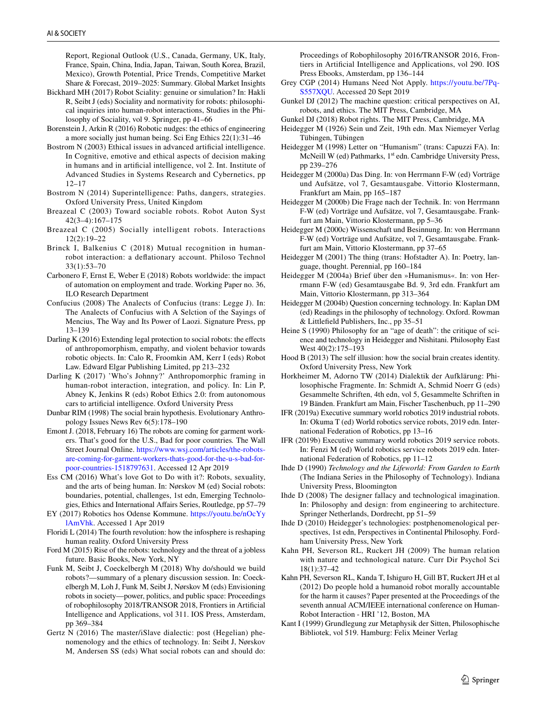Report, Regional Outlook (U.S., Canada, Germany, UK, Italy, France, Spain, China, India, Japan, Taiwan, South Korea, Brazil, Mexico), Growth Potential, Price Trends, Competitive Market Share & Forecast, 2019–2025: Summary. Global Market Insights

- <span id="page-14-37"></span>Bickhard MH (2017) Robot Sciality: genuine or simulation? In: Hakli R, Seibt J (eds) Sociality and normativity for robots: philosophical inquiries into human-robot interactions, Studies in the Philosophy of Sociality, vol 9. Springer, pp 41–66
- <span id="page-14-22"></span>Borenstein J, Arkin R (2016) Robotic nudges: the ethics of engineering a more socially just human being. Sci Eng Ethics 22(1):31–46
- <span id="page-14-20"></span>Bostrom N (2003) Ethical issues in advanced artifcial intelligence. In Cognitive, emotive and ethical aspects of decision making in humans and in artifcial intelligence, vol 2. Int. Institute of Advanced Studies in Systems Research and Cybernetics, pp 12–17
- <span id="page-14-30"></span>Bostrom N (2014) Superintelligence: Paths, dangers, strategies. Oxford University Press, United Kingdom
- <span id="page-14-23"></span>Breazeal C (2003) Toward sociable robots. Robot Auton Syst 42(3–4):167–175
- <span id="page-14-0"></span>Breazeal C (2005) Socially intelligent robots. Interactions 12(2):19–22
- <span id="page-14-36"></span>Brinck I, Balkenius C (2018) Mutual recognition in humanrobot interaction: a defationary account. Philoso Technol 33(1):53–70
- <span id="page-14-34"></span>Carbonero F, Ernst E, Weber E (2018) Robots worldwide: the impact of automation on employment and trade. Working Paper no. 36, ILO Research Department
- <span id="page-14-24"></span>Confucius (2008) The Analects of Confucius (trans: Legge J). In: The Analects of Confucius with A Selction of the Sayings of Mencius, The Way and Its Power of Laozi. Signature Press, pp 13–139
- <span id="page-14-32"></span>Darling K (2016) Extending legal protection to social robots: the effects of anthropomorphism, empathy, and violent behavior towards robotic objects. In: Calo R, Froomkin AM, Kerr I (eds) Robot Law. Edward Elgar Publishing Limited, pp 213–232
- <span id="page-14-26"></span>Darling K (2017) 'Who's Johnny?' Anthropomorphic framing in human-robot interaction, integration, and policy. In: Lin P, Abney K, Jenkins R (eds) Robot Ethics 2.0: from autonomous cars to artifcial intelligence. Oxford University Press
- <span id="page-14-13"></span>Dunbar RIM (1998) The social brain hypothesis. Evolutionary Anthropology Issues News Rev 6(5):178–190
- <span id="page-14-33"></span>Emont J. (2018, February 16) The robots are coming for garment workers. That's good for the U.S., Bad for poor countries*.* The Wall Street Journal Online. [https://www.wsj.com/articles/the-robots](https://www.wsj.com/articles/the-robots-are-coming-for-garment-workers-thats-good-for-the-u-s-bad-for-poor-countries-1518797631)[are-coming-for-garment-workers-thats-good-for-the-u-s-bad-for](https://www.wsj.com/articles/the-robots-are-coming-for-garment-workers-thats-good-for-the-u-s-bad-for-poor-countries-1518797631)[poor-countries-1518797631](https://www.wsj.com/articles/the-robots-are-coming-for-garment-workers-thats-good-for-the-u-s-bad-for-poor-countries-1518797631). Accessed 12 Apr 2019
- <span id="page-14-40"></span>Ess CM (2016) What's love Got to Do with it?: Robots, sexuality, and the arts of being human. In: Nørskov M (ed) Social robots: boundaries, potential, challenges, 1st edn, Emerging Technologies, Ethics and International Afairs Series, Routledge, pp 57–79
- <span id="page-14-31"></span>EY (2017) Robotics hos Odense Kommune. [https://youtu.be/nOcYy](https://youtu.be/nOcYylAmVhk) [lAmVhk.](https://youtu.be/nOcYylAmVhk) Accessed 1 Apr 2019
- <span id="page-14-29"></span>Floridi L (2014) The fourth revolution: how the infosphere is reshaping human reality. Oxford University Press
- <span id="page-14-1"></span>Ford M (2015) Rise of the robots: technology and the threat of a jobless future. Basic Books, New York, NY
- <span id="page-14-21"></span>Funk M, Seibt J, Coeckelbergh M (2018) Why do/should we build robots?—summary of a plenary discussion session. In: Coeckelbergh M, Loh J, Funk M, Seibt J, Nørskov M (eds) Envisioning robots in society—power, politics, and public space: Proceedings of robophilosophy 2018/TRANSOR 2018, Frontiers in Artifcial Intelligence and Applications, vol 311. IOS Press, Amsterdam, pp 369–384
- <span id="page-14-35"></span>Gertz N (2016) The master/iSlave dialectic: post (Hegelian) phenomenology and the ethics of technology. In: Seibt J, Nørskov M, Andersen SS (eds) What social robots can and should do:

Proceedings of Robophilosophy 2016/TRANSOR 2016, Frontiers in Artifcial Intelligence and Applications, vol 290. IOS Press Ebooks, Amsterdam, pp 136–144

- <span id="page-14-39"></span>Grey CGP (2014) Humans Need Not Apply. [https://youtu.be/7Pq-](https://youtu.be/7Pq-S557XQU)[S557XQU](https://youtu.be/7Pq-S557XQU). Accessed 20 Sept 2019
- <span id="page-14-4"></span>Gunkel DJ (2012) The machine question: critical perspectives on AI, robots, and ethics. The MIT Press, Cambridge, MA
- <span id="page-14-3"></span>Gunkel DJ (2018) Robot rights. The MIT Press, Cambridge, MA
- <span id="page-14-11"></span>Heidegger M (1926) Sein und Zeit, 19th edn. Max Niemeyer Verlag Tübingen, Tübingen
- <span id="page-14-15"></span>Heidegger M (1998) Letter on "Humanism" (trans: Capuzzi FA). In: McNeill W (ed) Pathmarks, 1<sup>st</sup> edn. Cambridge University Press, pp 239–276
- <span id="page-14-5"></span>Heidegger M (2000a) Das Ding. In: von Herrmann F-W (ed) Vorträge und Aufsätze, vol 7, Gesamtausgabe. Vittorio Klostermann, Frankfurt am Main, pp 165–187
- <span id="page-14-9"></span>Heidegger M (2000b) Die Frage nach der Technik. In: von Herrmann F-W (ed) Vorträge und Aufsätze, vol 7, Gesamtausgabe. Frankfurt am Main, Vittorio Klostermann, pp 5–36
- <span id="page-14-8"></span>Heidegger M (2000c) Wissenschaft und Besinnung. In: von Herrmann F-W (ed) Vorträge und Aufsätze, vol 7, Gesamtausgabe. Frankfurt am Main, Vittorio Klostermann, pp 37–65
- <span id="page-14-6"></span>Heidegger M (2001) The thing (trans: Hofstadter A). In: Poetry, language, thought. Perennial, pp 160–184
- <span id="page-14-16"></span>Heidegger M (2004a) Brief über den »Humanismus«. In: von Herrmann F-W (ed) Gesamtausgabe Bd. 9, 3rd edn. Frankfurt am Main, Vittorio Klostermann, pp 313–364
- <span id="page-14-14"></span>Heidegger M (2004b) Question concerning technology. In: Kaplan DM (ed) Readings in the philosophy of technology. Oxford. Rowman & Littlefeld Publishers, Inc., pp 35–51
- <span id="page-14-7"></span>Heine S (1990) Philosophy for an "age of death": the critique of science and technology in Heidegger and Nishitani. Philosophy East West 40(2):175–193
- <span id="page-14-12"></span>Hood B (2013) The self illusion: how the social brain creates identity. Oxford University Press, New York
- <span id="page-14-25"></span>Horkheimer M, Adorno TW (2014) Dialektik der Aufklärung: Philosophische Fragmente. In: Schmidt A, Schmid Noerr G (eds) Gesammelte Schriften, 4th edn, vol 5, Gesammelte Schriften in 19 Bänden. Frankfurt am Main, Fischer Taschenbuch, pp 11–290
- <span id="page-14-17"></span>IFR (2019a) Executive summary world robotics 2019 industrial robots. In: Okuma T (ed) World robotics service robots, 2019 edn. International Federation of Robotics, pp 13–16
- <span id="page-14-18"></span>IFR (2019b) Executive summary world robotics 2019 service robots. In: Fenzi M (ed) World robotics service robots 2019 edn. International Federation of Robotics, pp 11–12
- <span id="page-14-19"></span>Ihde D (1990) *Technology and the Lifeworld: From Garden to Earth* (The Indiana Series in the Philosophy of Technology). Indiana University Press, Bloomington
- <span id="page-14-2"></span>Ihde D (2008) The designer fallacy and technological imagination. In: Philosophy and design: from engineering to architecture. Springer Netherlands, Dordrecht, pp 51–59
- <span id="page-14-10"></span>Ihde D (2010) Heidegger's technologies: postphenomenological perspectives, 1st edn, Perspectives in Continental Philosophy. Fordham University Press, New York
- <span id="page-14-38"></span>Kahn PH, Severson RL, Ruckert JH (2009) The human relation with nature and technological nature. Curr Dir Psychol Sci 18(1):37–42
- <span id="page-14-27"></span>Kahn PH, Severson RL, Kanda T, Ishiguro H, Gill BT, Ruckert JH et al (2012) Do people hold a humanoid robot morally accountable for the harm it causes? Paper presented at the Proceedings of the seventh annual ACM/IEEE international conference on Human-Robot Interaction - HRI '12, Boston, MA
- <span id="page-14-28"></span>Kant I (1999) Grundlegung zur Metaphysik der Sitten, Philosophische Bibliotek, vol 519. Hamburg: Felix Meiner Verlag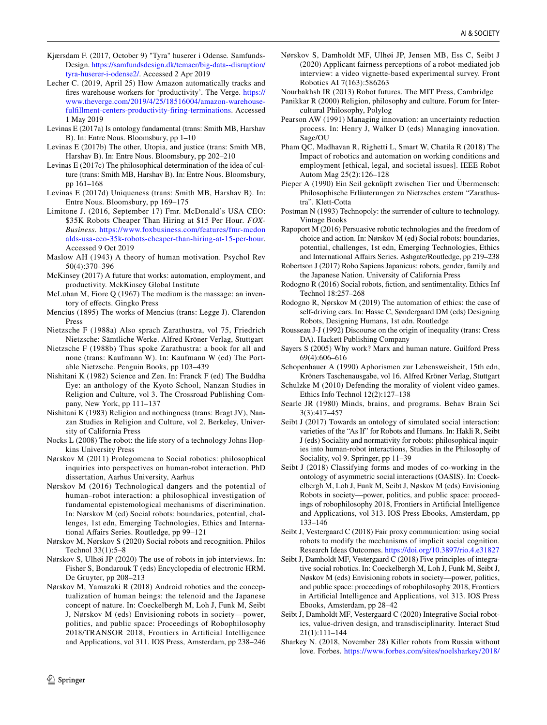- <span id="page-15-29"></span>Kjærsdam F. (2017, October 9) "Tyra" huserer i Odense*.* Samfunds-Design. [https://samfundsdesign.dk/temaer/big-data--disruption/](https://samfundsdesign.dk/temaer/big-data--disruption/tyra-huserer-i-odense2/) [tyra-huserer-i-odense2/.](https://samfundsdesign.dk/temaer/big-data--disruption/tyra-huserer-i-odense2/) Accessed 2 Apr 2019
- <span id="page-15-33"></span>Lecher C. (2019, April 25) How Amazon automatically tracks and fres warehouse workers for 'productivity'*.* The Verge. [https://](https://www.theverge.com/2019/4/25/18516004/amazon-warehouse-fulfillment-centers-productivity-firing-terminations) [www.theverge.com/2019/4/25/18516004/amazon-warehouse](https://www.theverge.com/2019/4/25/18516004/amazon-warehouse-fulfillment-centers-productivity-firing-terminations)[fulfllment-centers-productivity-fring-terminations.](https://www.theverge.com/2019/4/25/18516004/amazon-warehouse-fulfillment-centers-productivity-firing-terminations) Accessed 1 May 2019
- <span id="page-15-24"></span>Levinas E (2017a) Is ontology fundamental (trans: Smith MB, Harshav B). In: Entre Nous. Bloomsbury, pp 1–10
- <span id="page-15-23"></span>Levinas E (2017b) The other, Utopia, and justice (trans: Smith MB, Harshav B). In: Entre Nous. Bloomsbury, pp 202–210
- <span id="page-15-22"></span>Levinas E (2017c) The philosophical determination of the idea of culture (trans: Smith MB, Harshav B). In: Entre Nous. Bloomsbury, pp 161–168
- <span id="page-15-25"></span>Levinas E (2017d) Uniqueness (trans: Smith MB, Harshav B). In: Entre Nous. Bloomsbury, pp 169–175
- <span id="page-15-27"></span>Limitone J. (2016, September 17) Fmr. McDonald's USA CEO: \$35K Robots Cheaper Than Hiring at \$15 Per Hour*. FOX-Business*. [https://www.foxbusiness.com/features/fmr-mcdon](https://www.foxbusiness.com/features/fmr-mcdonalds-usa-ceo-35k-robots-cheaper-than-hiring-at-15-per-hour) [alds-usa-ceo-35k-robots-cheaper-than-hiring-at-15-per-hour](https://www.foxbusiness.com/features/fmr-mcdonalds-usa-ceo-35k-robots-cheaper-than-hiring-at-15-per-hour). Accessed 9 Oct 2019
- <span id="page-15-30"></span>Maslow AH (1943) A theory of human motivation. Psychol Rev 50(4):370–396
- <span id="page-15-10"></span>McKinsey (2017) A future that works: automation, employment, and productivity. MckKinsey Global Institute
- <span id="page-15-14"></span>McLuhan M, Fiore Q (1967) The medium is the massage: an inventory of efects. Gingko Press
- <span id="page-15-41"></span>Mencius (1895) The works of Mencius (trans: Legge J). Clarendon Press
- <span id="page-15-21"></span>Nietzsche F (1988a) Also sprach Zarathustra, vol 75, Friedrich Nietzsche: Sämtliche Werke. Alfred Kröner Verlag, Stuttgart
- <span id="page-15-18"></span>Nietzsche F (1988b) Thus spoke Zarathustra: a book for all and none (trans: Kaufmann W). In: Kaufmann W (ed) The Portable Nietzsche. Penguin Books, pp 103–439
- <span id="page-15-9"></span>Nishitani K (1982) Science and Zen. In: Franck F (ed) The Buddha Eye: an anthology of the Kyoto School, Nanzan Studies in Religion and Culture, vol 3. The Crossroad Publishing Company, New York, pp 111–137
- <span id="page-15-40"></span>Nishitani K (1983) Religion and nothingness (trans: Bragt JV), Nanzan Studies in Religion and Culture, vol 2. Berkeley, University of California Press
- <span id="page-15-2"></span>Nocks L (2008) The robot: the life story of a technology Johns Hopkins University Press
- <span id="page-15-7"></span>Nørskov M (2011) Prolegomena to Social robotics: philosophical inquiries into perspectives on human-robot interaction. PhD dissertation, Aarhus University, Aarhus
- <span id="page-15-8"></span>Nørskov M (2016) Technological dangers and the potential of human–robot interaction: a philosophical investigation of fundamental epistemological mechanisms of discrimination. In: Nørskov M (ed) Social robots: boundaries, potential, challenges, 1st edn, Emerging Technologies, Ethics and International Afairs Series. Routledge, pp 99–121
- <span id="page-15-34"></span>Nørskov M, Nørskov S (2020) Social robots and recognition. Philos Technol 33(1):5–8
- <span id="page-15-39"></span>Nørskov S, Ulhøi JP (2020) The use of robots in job interviews. In: Fisher S, Bondarouk T (eds) Encyclopedia of electronic HRM. De Gruyter, pp 208–213
- <span id="page-15-16"></span>Nørskov M, Yamazaki R (2018) Android robotics and the conceptualization of human beings: the telenoid and the Japanese concept of nature. In: Coeckelbergh M, Loh J, Funk M, Seibt J, Nørskov M (eds) Envisioning robots in society—power, politics, and public space: Proceedings of Robophilosophy 2018/TRANSOR 2018, Frontiers in Artifcial Intelligence and Applications, vol 311. IOS Press, Amsterdam, pp 238–246
- <span id="page-15-38"></span>Nørskov S, Damholdt MF, Ulhøi JP, Jensen MB, Ess C, Seibt J (2020) Applicant fairness perceptions of a robot-mediated job interview: a video vignette-based experimental survey. Front Robotics AI 7(163):586263
- <span id="page-15-3"></span>Nourbakhsh IR (2013) Robot futures. The MIT Press, Cambridge
- <span id="page-15-26"></span>Panikkar R (2000) Religion, philosophy and culture. Forum for Intercultural Philosophy, Polylog
- <span id="page-15-4"></span>Pearson AW (1991) Managing innovation: an uncertainty reduction process. In: Henry J, Walker D (eds) Managing innovation. Sage/OU
- <span id="page-15-28"></span>Pham QC, Madhavan R, Righetti L, Smart W, Chatila R (2018) The Impact of robotics and automation on working conditions and employment [ethical, legal, and societal issues]. IEEE Robot Autom Mag 25(2):126–128
- <span id="page-15-19"></span>Pieper A (1990) Ein Seil geknüpft zwischen Tier und Übermensch: Philosophische Erläuterungen zu Nietzsches erstem "Zarathustra". Klett-Cotta
- <span id="page-15-5"></span>Postman N (1993) Technopoly: the surrender of culture to technology. Vintage Books
- <span id="page-15-15"></span>Rapoport M (2016) Persuasive robotic technologies and the freedom of choice and action. In: Nørskov M (ed) Social robots: boundaries, potential, challenges, 1st edn, Emerging Technologies, Ethics and International Afairs Series. Ashgate/Routledge, pp 219–238
- <span id="page-15-0"></span>Robertson J (2017) Robo Sapiens Japanicus: robots, gender, family and the Japanese Nation. University of California Press
- <span id="page-15-35"></span>Rodogno R (2016) Social robots, fction, and sentimentality. Ethics Inf Technol 18:257–268
- <span id="page-15-20"></span>Rodogno R, Nørskov M (2019) The automation of ethics: the case of self-driving cars. In: Hasse C, Søndergaard DM (eds) Designing Robots, Designing Humans, 1st edn. Routledge
- <span id="page-15-42"></span>Rousseau J-J (1992) Discourse on the origin of inequality (trans: Cress DA). Hackett Publishing Company
- <span id="page-15-32"></span>Sayers S (2005) Why work? Marx and human nature. Guilford Press 69(4):606–616
- <span id="page-15-11"></span>Schopenhauer A (1990) Aphorismen zur Lebensweisheit, 15th edn, Kröners Taschenausgabe, vol 16. Alfred Kröner Verlag, Stuttgart
- <span id="page-15-36"></span>Schulzke M (2010) Defending the morality of violent video games. Ethics Info Technol 12(2):127–138
- <span id="page-15-17"></span>Searle JR (1980) Minds, brains, and programs. Behav Brain Sci 3(3):417–457
- <span id="page-15-1"></span>Seibt J (2017) Towards an ontology of simulated social interaction: varieties of the "As If" for Robots and Humans. In: Hakli R, Seibt J (eds) Sociality and normativity for robots: philosophical inquiries into human-robot interactions, Studies in the Philosophy of Sociality, vol 9. Springer, pp 11–39
- <span id="page-15-31"></span>Seibt J (2018) Classifying forms and modes of co-working in the ontology of asymmetric social interactions (OASIS). In: Coeckelbergh M, Loh J, Funk M, Seibt J, Nøskov M (eds) Envisioning Robots in society—power, politics, and public space: proceedings of robophilosophy 2018, Frontiers in Artifcial Intelligence and Applications, vol 313. IOS Press Ebooks, Amsterdam, pp 133–146
- <span id="page-15-37"></span>Seibt J, Vestergaard C (2018) Fair proxy communication: using social robots to modify the mechanisms of implicit social cognition. Research Ideas Outcomes.<https://doi.org/10.3897/rio.4.e31827>
- <span id="page-15-12"></span>Seibt J, Damholdt MF, Vestergaard C (2018) Five principles of integrative social robotics. In: Coeckelbergh M, Loh J, Funk M, Seibt J, Nøskov M (eds) Envisioning robots in society—power, politics, and public space: proceedings of robophilosophy 2018, Frontiers in Artifcial Intelligence and Applications, vol 313. IOS Press Ebooks, Amsterdam, pp 28–42
- <span id="page-15-6"></span>Seibt J, Damholdt MF, Vestergaard C (2020) Integrative Social robotics, value-driven design, and transdisciplinarity. Interact Stud 21(1):111–144
- <span id="page-15-13"></span>Sharkey N. (2018, November 28) Killer robots from Russia without love*.* Forbes. [https://www.forbes.com/sites/noelsharkey/2018/](https://www.forbes.com/sites/noelsharkey/2018/11/28/killer-robots-from-russia-without-love/#12dbe57ccf01)